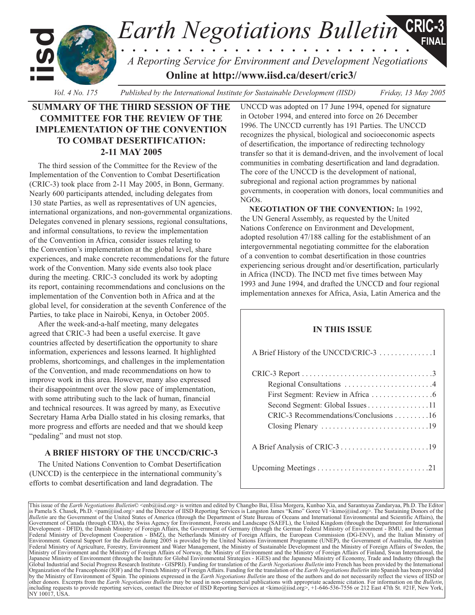*Earth Negotiations Bulletin* **iisd** *. . . . . . . . . . . . . . . . . . . . . . . . . . A Reporting Service for Environment and Development Negotiations* **Online at <http://www.iisd.ca/desert/cric3/> CRIC-3 FINAL**

*Vol. 4 No. 175 Published by the International Institute for Sustainable Development (IISD) Friday, 13 May 2005*

# **SUMMARY OF THE THIRD SESSION OF THE COMMITTEE FOR THE REVIEW OF THE IMPLEMENTATION OF THE CONVENTION TO COMBAT DESERTIFICATION: 2-11 MAY 2005**

The third session of the Committee for the Review of the Implementation of the Convention to Combat Desertification (CRIC-3) took place from 2-11 May 2005, in Bonn, Germany. Nearly 600 participants attended, including delegates from 130 state Parties, as well as representatives of UN agencies, international organizations, and non-governmental organizations. Delegates convened in plenary sessions, regional consultations, and informal consultations, to review the implementation of the Convention in Africa, consider issues relating to the Convention's implementation at the global level, share experiences, and make concrete recommendations for the future work of the Convention. Many side events also took place during the meeting. CRIC-3 concluded its work by adopting its report, containing recommendations and conclusions on the implementation of the Convention both in Africa and at the global level, for consideration at the seventh Conference of the Parties, to take place in Nairobi, Kenya, in October 2005.

After the week-and-a-half meeting, many delegates agreed that CRIC-3 had been a useful exercise. It gave countries affected by desertification the opportunity to share information, experiences and lessons learned. It highlighted problems, shortcomings, and challenges in the implementation of the Convention, and made recommendations on how to improve work in this area. However, many also expressed their disappointment over the slow pace of implementation, with some attributing such to the lack of human, financial and technical resources. It was agreed by many, as Executive Secretary Hama Arba Diallo stated in his closing remarks, that more progress and efforts are needed and that we should keep "pedaling" and must not stop.

# **A BRIEF HISTORY OF THE UNCCD/CRIC-3**

The United Nations Convention to Combat Desertification (UNCCD) is the centerpiece in the international community's efforts to combat desertification and land degradation. The

UNCCD was adopted on 17 June 1994, opened for signature in October 1994, and entered into force on 26 December 1996. The UNCCD currently has 191 Parties. The UNCCD recognizes the physical, biological and socioeconomic aspects of desertification, the importance of redirecting technology transfer so that it is demand-driven, and the involvement of local communities in combating desertification and land degradation. The core of the UNCCD is the development of national, subregional and regional action programmes by national governments, in cooperation with donors, local communities and NGOs.

**NEGOTIATION OF THE CONVENTION:** In 1992, the UN General Assembly, as requested by the United Nations Conference on Environment and Development, adopted resolution 47/188 calling for the establishment of an intergovernmental negotiating committee for the elaboration of a convention to combat desertification in those countries experiencing serious drought and/or desertification, particularly in Africa (INCD). The INCD met five times between May 1993 and June 1994, and drafted the UNCCD and four regional implementation annexes for Africa, Asia, Latin America and the

# **IN THIS ISSUE**

 $\Lambda$  Brief History of the UNCCD/CDIC-3  $\Lambda$ 

This issue of the *Earth Negotiations Bulletin*© [<enb@iisd.org>](mailto:enb@iisd.org) is written and edited by Changbo Bai, Elisa Morgera, Kunbao Xia, and Sarantuyaa Zandaryaa, Ph.D. The Editor<br>is Pamela S. Chasek, Ph.D. [<pam@iisd.org>](mailto:pam@iisd.org) and the *Bulletin* are the Government of the United States of America (through the Department of State Bureau of Oceans and International Environmental and Scientific Affairs), the Government of Canada (through CIDA), the Swiss Agency for Environment, Forests and Landscape (SAEFL), the United Kingdom (through the Department for International Development - DFID), the Danish Ministry of Foreign Affairs, the Government of Germany (through the German Federal Ministry of Environment - BMU, and the German Federal Ministry of Development Cooperation - BMZ), the Netherlands Ministry of Foreign Affairs, the European Commission (DG-ENV), and the Italian Ministry of Environment. General Support for the *Bulletin* during 2005 is provided by the United Nations Environment Programme (UNEP), the Government of Australia, the Austrian Federal Ministry of Agriculture, Forestry, Environment and Water Management, the Ministry of Sustainable Development and the Ministry of Foreign Affairs of Sweden, the Ministry of Environment and the Ministry of Foreign Affairs of Norway, the Ministry of Environment and the Ministry of Foreign Affairs of Finland, Swan International, the Japanese Ministry of Environment (through the Institute for Global Environmental Strategies - IGES) and the Japanese Ministry of Economy, Trade and Industry (through the<br>Global Industrial and Social Progress Research Insti Organization of the Francophonie (IOF) and the French Ministry of Foreign Affairs. Funding for the translation of the *Earth Negotiations Bulletin* into Spanish has been provided by the Ministry of Environment of Spain. The opinions expressed in the *Earth Negotiations Bulletin* are those of the authors and do not necessarily reflect the views of IISD or other donors. Excerpts from the *Earth Negotiations Bulletin* may be used in non-commercial publications with appropriate academic citation. For information on the *Bulletin*, ncluding requests to provide reporting services, contact the Director of IISD Reporting Services at [<kimo@iisd.org>](mailto:kimo@iisd.org), +1-646-536-7556 or 212 East 47th St. #21F, New York, NY 10017, USA.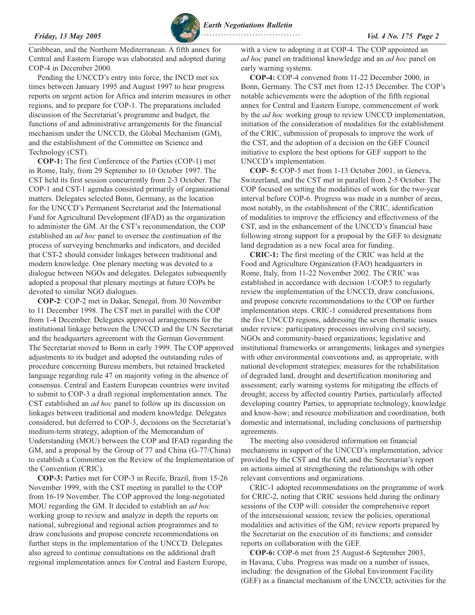*Friday, 13 May 2005 Vol. 4 No. 175 Page 2 Earth Negotiations Bulletin*

Caribbean, and the Northern Mediterranean. A fifth annex for Central and Eastern Europe was elaborated and adopted during COP-4 in December 2000.

Pending the UNCCD's entry into force, the INCD met six times between January 1995 and August 1997 to hear progress reports on urgent action for Africa and interim measures in other regions, and to prepare for COP-1. The preparations included discussion of the Secretariat's programme and budget, the functions of and administrative arrangements for the financial mechanism under the UNCCD, the Global Mechanism (GM), and the establishment of the Committee on Science and Technology (CST).

**COP-1:** The first Conference of the Parties (COP-1) met in Rome, Italy, from 29 September to 10 October 1997. The CST held its first session concurrently from 2-3 October. The COP-1 and CST-1 agendas consisted primarily of organizational matters. Delegates selected Bonn, Germany, as the location for the UNCCD's Permanent Secretariat and the International Fund for Agricultural Development (IFAD) as the organization to administer the GM. At the CST's recommendation, the COP established an *ad hoc* panel to oversee the continuation of the process of surveying benchmarks and indicators, and decided that CST-2 should consider linkages between traditional and modern knowledge. One plenary meeting was devoted to a dialogue between NGOs and delegates. Delegates subsequently adopted a proposal that plenary meetings at future COPs be devoted to similar NGO dialogues.

**COP-2**: COP-2 met in Dakar, Senegal, from 30 November to 11 December 1998. The CST met in parallel with the COP from 1-4 December. Delegates approved arrangements for the institutional linkage between the UNCCD and the UN Secretariat and the headquarters agreement with the German Government. The Secretariat moved to Bonn in early 1999. The COP approved adjustments to its budget and adopted the outstanding rules of procedure concerning Bureau members, but retained bracketed language regarding rule 47 on majority voting in the absence of consensus. Central and Eastern European countries were invited to submit to COP-3 a draft regional implementation annex. The CST established an *ad hoc* panel to follow up its discussion on linkages between traditional and modern knowledge. Delegates considered, but deferred to COP-3, decisions on the Secretariat's medium-term strategy, adoption of the Memorandum of Understanding (MOU) between the COP and IFAD regarding the GM, and a proposal by the Group of 77 and China (G-77/China) to establish a Committee on the Review of the Implementation of the Convention (CRIC).

**COP-3:** Parties met for COP-3 in Recife, Brazil, from 15-26 November 1999, with the CST meeting in parallel to the COP from 16-19 November. The COP approved the long-negotiated MOU regarding the GM. It decided to establish an *ad hoc* working group to review and analyze in depth the reports on national, subregional and regional action programmes and to draw conclusions and propose concrete recommendations on further steps in the implementation of the UNCCD. Delegates also agreed to continue consultations on the additional draft regional implementation annex for Central and Eastern Europe,

with a view to adopting it at COP-4. The COP appointed an *ad hoc* panel on traditional knowledge and an *ad hoc* panel on early warning systems.

**COP-4:** COP-4 convened from 11-22 December 2000, in Bonn, Germany. The CST met from 12-15 December. The COP's notable achievements were the adoption of the fifth regional annex for Central and Eastern Europe, commencement of work by the *ad hoc* working group to review UNCCD implementation, initiation of the consideration of modalities for the establishment of the CRIC, submission of proposals to improve the work of the CST, and the adoption of a decision on the GEF Council initiative to explore the best options for GEF support to the UNCCD's implementation.

**COP- 5:** COP-5 met from 1-13 October 2001, in Geneva, Switzerland, and the CST met in parallel from 2-5 October. The COP focused on setting the modalities of work for the two-year interval before COP-6. Progress was made in a number of areas, most notably, in the establishment of the CRIC, identification of modalities to improve the efficiency and effectiveness of the CST, and in the enhancement of the UNCCD's financial base following strong support for a proposal by the GEF to designate land degradation as a new focal area for funding.

**CRIC-1:** The first meeting of the CRIC was held at the Food and Agriculture Organization (FAO) headquarters in Rome, Italy, from 11-22 November 2002. The CRIC was established in accordance with decision 1/COP.5 to regularly review the implementation of the UNCCD, draw conclusions, and propose concrete recommendations to the COP on further implementation steps. CRIC-1 considered presentations from the five UNCCD regions, addressing the seven thematic issues under review: participatory processes involving civil society, NGOs and community-based organizations; legislative and institutional frameworks or arrangements; linkages and synergies with other environmental conventions and, as appropriate, with national development strategies; measures for the rehabilitation of degraded land, drought and desertification monitoring and assessment; early warning systems for mitigating the effects of drought; access by affected country Parties, particularly affected developing country Parties, to appropriate technology, knowledge and know-how; and resource mobilization and coordination, both domestic and international, including conclusions of partnership agreements.

The meeting also considered information on financial mechanisms in support of the UNCCD's implementation, advice provided by the CST and the GM, and the Secretariat's report on actions aimed at strengthening the relationships with other relevant conventions and organizations.

CRIC-1 adopted recommendations on the programme of work for CRIC-2, noting that CRIC sessions held during the ordinary sessions of the COP will: consider the comprehensive report of the intersessional session; review the policies, operational modalities and activities of the GM; review reports prepared by the Secretariat on the execution of its functions; and consider reports on collaboration with the GEF.

**COP-6:** COP-6 met from 25 August-6 September 2003, in Havana, Cuba. Progress was made on a number of issues, including: the designation of the Global Environment Facility (GEF) as a financial mechanism of the UNCCD; activities for the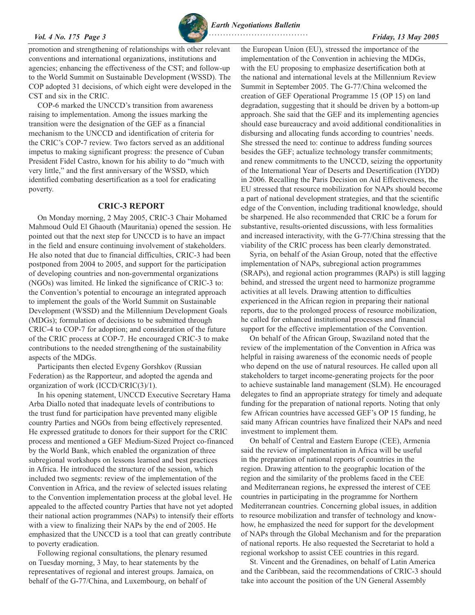### <span id="page-2-0"></span>*Vol. 4 No. 175 Page 3 Friday, 13 May 2005*



*Earth Negotiations Bulletin*

promotion and strengthening of relationships with other relevant conventions and international organizations, institutions and agencies; enhancing the effectiveness of the CST; and follow-up to the World Summit on Sustainable Development (WSSD). The COP adopted 31 decisions, of which eight were developed in the CST and six in the CRIC.

COP-6 marked the UNCCD's transition from awareness raising to implementation. Among the issues marking the transition were the designation of the GEF as a financial mechanism to the UNCCD and identification of criteria for the CRIC's COP-7 review. Two factors served as an additional impetus to making significant progress: the presence of Cuban President Fidel Castro, known for his ability to do "much with very little," and the first anniversary of the WSSD, which identified combating desertification as a tool for eradicating poverty.

# **CRIC-3 REPORT**

On Monday morning, 2 May 2005, CRIC-3 Chair Mohamed Mahmoud Ould El Ghaouth (Mauritania) opened the session. He pointed out that the next step for UNCCD is to have an impact in the field and ensure continuing involvement of stakeholders. He also noted that due to financial difficulties, CRIC-3 had been postponed from 2004 to 2005, and support for the participation of developing countries and non-governmental organizations (NGOs) was limited. He linked the significance of CRIC-3 to: the Convention's potential to encourage an integrated approach to implement the goals of the World Summit on Sustainable Development (WSSD) and the Millennium Development Goals (MDGs); formulation of decisions to be submitted through CRIC-4 to COP-7 for adoption; and consideration of the future of the CRIC process at COP-7. He encouraged CRIC-3 to make contributions to the needed strengthening of the sustainability aspects of the MDGs.

Participants then elected Evgeny Gorshkov (Russian Federation) as the Rapporteur, and adopted the agenda and organization of work (ICCD/CRIC(3)/1).

In his opening statement, UNCCD Executive Secretary Hama Arba Diallo noted that inadequate levels of contributions to the trust fund for participation have prevented many eligible country Parties and NGOs from being effectively represented. He expressed gratitude to donors for their support for the CRIC process and mentioned a GEF Medium-Sized Project co-financed by the World Bank, which enabled the organization of three subregional workshops on lessons learned and best practices in Africa. He introduced the structure of the session, which included two segments: review of the implementation of the Convention in Africa, and the review of selected issues relating to the Convention implementation process at the global level. He appealed to the affected country Parties that have not yet adopted their national action programmes (NAPs) to intensify their efforts with a view to finalizing their NAPs by the end of 2005. He emphasized that the UNCCD is a tool that can greatly contribute to poverty eradication.

Following regional consultations, the plenary resumed on Tuesday morning, 3 May, to hear statements by the representatives of regional and interest groups. Jamaica, on behalf of the G-77/China, and Luxembourg, on behalf of

the European Union (EU), stressed the importance of the implementation of the Convention in achieving the MDGs, with the EU proposing to emphasize desertification both at the national and international levels at the Millennium Review Summit in September 2005. The G-77/China welcomed the creation of GEF Operational Programme 15 (OP 15) on land degradation, suggesting that it should be driven by a bottom-up approach. She said that the GEF and its implementing agencies should ease bureaucracy and avoid additional conditionalities in disbursing and allocating funds according to countries' needs. She stressed the need to: continue to address funding sources besides the GEF; actualize technology transfer commitments; and renew commitments to the UNCCD, seizing the opportunity of the International Year of Deserts and Desertification (IYDD) in 2006. Recalling the Paris Decision on Aid Effectiveness, the EU stressed that resource mobilization for NAPs should become a part of national development strategies, and that the scientific edge of the Convention, including traditional knowledge, should be sharpened. He also recommended that CRIC be a forum for substantive, results-oriented discussions, with less formalities and increased interactivity, with the G-77/China stressing that the viability of the CRIC process has been clearly demonstrated.

Syria, on behalf of the Asian Group, noted that the effective implementation of NAPs, subregional action programmes (SRAPs), and regional action programmes (RAPs) is still lagging behind, and stressed the urgent need to harmonize programme activities at all levels. Drawing attention to difficulties experienced in the African region in preparing their national reports, due to the prolonged process of resource mobilization, he called for enhanced institutional processes and financial support for the effective implementation of the Convention.

On behalf of the African Group, Swaziland noted that the review of the implementation of the Convention in Africa was helpful in raising awareness of the economic needs of people who depend on the use of natural resources. He called upon all stakeholders to target income-generating projects for the poor to achieve sustainable land management (SLM). He encouraged delegates to find an appropriate strategy for timely and adequate funding for the preparation of national reports. Noting that only few African countries have accessed GEF's OP 15 funding, he said many African countries have finalized their NAPs and need investment to implement them.

On behalf of Central and Eastern Europe (CEE), Armenia said the review of implementation in Africa will be useful in the preparation of national reports of countries in the region. Drawing attention to the geographic location of the region and the similarity of the problems faced in the CEE and Mediterranean regions, he expressed the interest of CEE countries in participating in the programme for Northern Mediterranean countries. Concerning global issues, in addition to resource mobilization and transfer of technology and knowhow, he emphasized the need for support for the development of NAPs through the Global Mechanism and for the preparation of national reports. He also requested the Secretariat to hold a regional workshop to assist CEE countries in this regard.

St. Vincent and the Grenadines, on behalf of Latin America and the Caribbean, said the recommendations of CRIC-3 should take into account the position of the UN General Assembly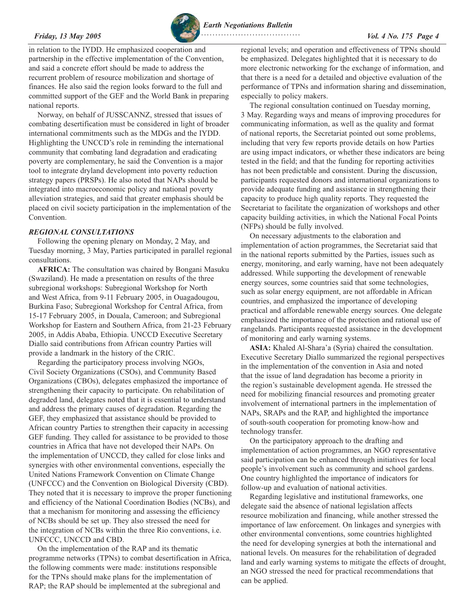<span id="page-3-0"></span>*Friday, 13 May 2005 Vol. 4 No. 175 Page 4 Earth Negotiations Bulletin*  **. . . . . . . . . . . . . . . . . . . . . . . . . . . . . . . . . . .** 

in relation to the IYDD. He emphasized cooperation and partnership in the effective implementation of the Convention, and said a concrete effort should be made to address the recurrent problem of resource mobilization and shortage of finances. He also said the region looks forward to the full and committed support of the GEF and the World Bank in preparing national reports.

Norway, on behalf of JUSSCANNZ, stressed that issues of combating desertification must be considered in light of broader international commitments such as the MDGs and the IYDD. Highlighting the UNCCD's role in reminding the international community that combating land degradation and eradicating poverty are complementary, he said the Convention is a major tool to integrate dryland development into poverty reduction strategy papers (PRSPs). He also noted that NAPs should be integrated into macroeconomic policy and national poverty alleviation strategies, and said that greater emphasis should be placed on civil society participation in the implementation of the Convention.

### *REGIONAL CONSULTATIONS*

Following the opening plenary on Monday, 2 May, and Tuesday morning, 3 May, Parties participated in parallel regional consultations.

**AFRICA:** The consultation was chaired by Bongani Masuku (Swaziland). He made a presentation on results of the three subregional workshops: Subregional Workshop for North and West Africa, from 9-11 February 2005, in Ouagadougou, Burkina Faso; Subregional Workshop for Central Africa, from 15-17 February 2005, in Douala, Cameroon; and Subregional Workshop for Eastern and Southern Africa, from 21-23 February 2005, in Addis Ababa, Ethiopia. UNCCD Executive Secretary Diallo said contributions from African country Parties will provide a landmark in the history of the CRIC.

Regarding the participatory process involving NGOs, Civil Society Organizations (CSOs), and Community Based Organizations (CBOs), delegates emphasized the importance of strengthening their capacity to participate. On rehabilitation of degraded land, delegates noted that it is essential to understand and address the primary causes of degradation. Regarding the GEF, they emphasized that assistance should be provided to African country Parties to strengthen their capacity in accessing GEF funding. They called for assistance to be provided to those countries in Africa that have not developed their NAPs. On the implementation of UNCCD, they called for close links and synergies with other environmental conventions, especially the United Nations Framework Convention on Climate Change (UNFCCC) and the Convention on Biological Diversity (CBD). They noted that it is necessary to improve the proper functioning and efficiency of the National Coordination Bodies (NCBs), and that a mechanism for monitoring and assessing the efficiency of NCBs should be set up. They also stressed the need for the integration of NCBs within the three Rio conventions, i.e. UNFCCC, UNCCD and CBD.

On the implementation of the RAP and its thematic programme networks (TPNs) to combat desertification in Africa, the following comments were made: institutions responsible for the TPNs should make plans for the implementation of RAP; the RAP should be implemented at the subregional and

regional levels; and operation and effectiveness of TPNs should be emphasized. Delegates highlighted that it is necessary to do more electronic networking for the exchange of information, and that there is a need for a detailed and objective evaluation of the performance of TPNs and information sharing and dissemination, especially to policy makers.

The regional consultation continued on Tuesday morning, 3 May. Regarding ways and means of improving procedures for communicating information, as well as the quality and format of national reports, the Secretariat pointed out some problems, including that very few reports provide details on how Parties are using impact indicators, or whether these indicators are being tested in the field; and that the funding for reporting activities has not been predictable and consistent. During the discussion, participants requested donors and international organizations to provide adequate funding and assistance in strengthening their capacity to produce high quality reports. They requested the Secretariat to facilitate the organization of workshops and other capacity building activities, in which the National Focal Points (NFPs) should be fully involved.

On necessary adjustments to the elaboration and implementation of action programmes, the Secretariat said that in the national reports submitted by the Parties, issues such as energy, monitoring, and early warning, have not been adequately addressed. While supporting the development of renewable energy sources, some countries said that some technologies, such as solar energy equipment, are not affordable in African countries, and emphasized the importance of developing practical and affordable renewable energy sources. One delegate emphasized the importance of the protection and rational use of rangelands. Participants requested assistance in the development of monitoring and early warning systems.

**ASIA:** Khaled Al-Shara'a (Syria) chaired the consultation. Executive Secretary Diallo summarized the regional perspectives in the implementation of the convention in Asia and noted that the issue of land degradation has become a priority in the region's sustainable development agenda. He stressed the need for mobilizing financial resources and promoting greater involvement of international partners in the implementation of NAPs, SRAPs and the RAP, and highlighted the importance of south-south cooperation for promoting know-how and technology transfer.

On the participatory approach to the drafting and implementation of action programmes, an NGO representative said participation can be enhanced through initiatives for local people's involvement such as community and school gardens. One country highlighted the importance of indicators for follow-up and evaluation of national activities.

Regarding legislative and institutional frameworks, one delegate said the absence of national legislation affects resource mobilization and financing, while another stressed the importance of law enforcement. On linkages and synergies with other environmental conventions, some countries highlighted the need for developing synergies at both the international and national levels. On measures for the rehabilitation of degraded land and early warning systems to mitigate the effects of drought, an NGO stressed the need for practical recommendations that can be applied.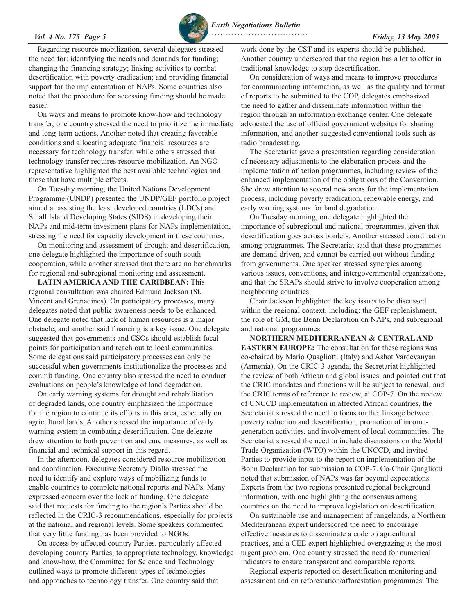

*Earth Negotiations Bulletin*  **. . . . . . . . . . . . . . . . . . . . . . . . . . . . . . . . . . .** 

Regarding resource mobilization, several delegates stressed the need for: identifying the needs and demands for funding; changing the financing strategy; linking activities to combat desertification with poverty eradication; and providing financial support for the implementation of NAPs. Some countries also noted that the procedure for accessing funding should be made easier.

On ways and means to promote know-how and technology transfer, one country stressed the need to prioritize the immediate and long-term actions. Another noted that creating favorable conditions and allocating adequate financial resources are necessary for technology transfer, while others stressed that technology transfer requires resource mobilization. An NGO representative highlighted the best available technologies and those that have multiple effects.

On Tuesday morning, the United Nations Development Programme (UNDP) presented the UNDP/GEF portfolio project aimed at assisting the least developed countries (LDCs) and Small Island Developing States (SIDS) in developing their NAPs and mid-term investment plans for NAPs implementation, stressing the need for capacity development in these countries.

On monitoring and assessment of drought and desertification, one delegate highlighted the importance of south-south cooperation, while another stressed that there are no benchmarks for regional and subregional monitoring and assessment.

**LATIN AMERICA AND THE CARIBBEAN:** This regional consultation was chaired Edmund Jackson (St. Vincent and Grenadines). On participatory processes, many delegates noted that public awareness needs to be enhanced. One delegate noted that lack of human resources is a major obstacle, and another said financing is a key issue. One delegate suggested that governments and CSOs should establish focal points for participation and reach out to local communities. Some delegations said participatory processes can only be successful when governments institutionalize the processes and commit funding. One country also stressed the need to conduct evaluations on people's knowledge of land degradation.

On early warning systems for drought and rehabilitation of degraded lands, one country emphasized the importance for the region to continue its efforts in this area, especially on agricultural lands. Another stressed the importance of early warning system in combating desertification. One delegate drew attention to both prevention and cure measures, as well as financial and technical support in this regard.

In the afternoon, delegates considered resource mobilization and coordination. Executive Secretary Diallo stressed the need to identify and explore ways of mobilizing funds to enable countries to complete national reports and NAPs. Many expressed concern over the lack of funding. One delegate said that requests for funding to the region's Parties should be reflected in the CRIC-3 recommendations, especially for projects at the national and regional levels. Some speakers commented that very little funding has been provided to NGOs.

On access by affected country Parties, particularly affected developing country Parties, to appropriate technology, knowledge and know-how, the Committee for Science and Technology outlined ways to promote different types of technologies and approaches to technology transfer. One country said that

work done by the CST and its experts should be published. Another country underscored that the region has a lot to offer in traditional knowledge to stop desertification.

On consideration of ways and means to improve procedures for communicating information, as well as the quality and format of reports to be submitted to the COP, delegates emphasized the need to gather and disseminate information within the region through an information exchange center. One delegate advocated the use of official government websites for sharing information, and another suggested conventional tools such as radio broadcasting.

The Secretariat gave a presentation regarding consideration of necessary adjustments to the elaboration process and the implementation of action programmes, including review of the enhanced implementation of the obligations of the Convention. She drew attention to several new areas for the implementation process, including poverty eradication, renewable energy, and early warning systems for land degradation.

On Tuesday morning, one delegate highlighted the importance of subregional and national programmes, given that desertification goes across borders. Another stressed coordination among programmes. The Secretariat said that these programmes are demand-driven, and cannot be carried out without funding from governments. One speaker stressed synergies among various issues, conventions, and intergovernmental organizations, and that the SRAPs should strive to involve cooperation among neighboring countries.

Chair Jackson highlighted the key issues to be discussed within the regional context, including: the GEF replenishment, the role of GM, the Bonn Declaration on NAPs, and subregional and national programmes.

**NORTHERN MEDITERRANEAN & CENTRAL AND EASTERN EUROPE:** The consultation for these regions was co-chaired by Mario Quagliotti (Italy) and Ashot Vardevanyan (Armenia). On the CRIC-3 agenda, the Secretariat highlighted the review of both African and global issues, and pointed out that the CRIC mandates and functions will be subject to renewal, and the CRIC terms of reference to review, at COP-7. On the review of UNCCD implementation in affected African countries, the Secretariat stressed the need to focus on the: linkage between poverty reduction and desertification, promotion of incomegeneration activities, and involvement of local communities. The Secretariat stressed the need to include discussions on the World Trade Organization (WTO) within the UNCCD, and invited Parties to provide input to the report on implementation of the Bonn Declaration for submission to COP-7. Co-Chair Quagliotti noted that submission of NAPs was far beyond expectations. Experts from the two regions presented regional background information, with one highlighting the consensus among countries on the need to improve legislation on desertification.

On sustainable use and management of rangelands, a Northern Mediterranean expert underscored the need to encourage effective measures to disseminate a code on agricultural practices, and a CEE expert highlighted overgrazing as the most urgent problem. One country stressed the need for numerical indicators to ensure transparent and comparable reports.

Regional experts reported on desertification monitoring and assessment and on reforestation/afforestation programmes. The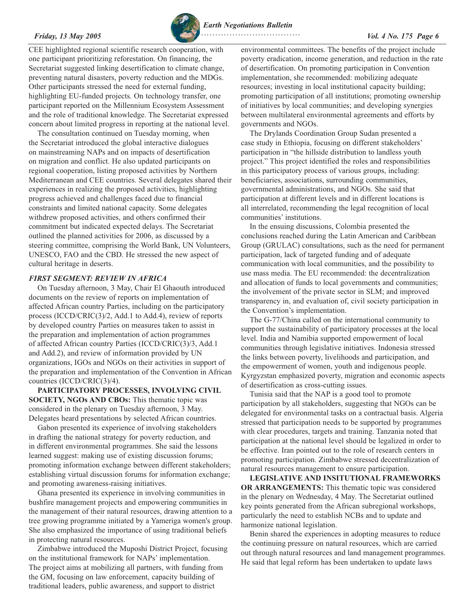CEE highlighted regional scientific research cooperation, with one participant prioritizing reforestation. On financing, the Secretariat suggested linking desertification to climate change, preventing natural disasters, poverty reduction and the MDGs. Other participants stressed the need for external funding, highlighting EU-funded projects. On technology transfer, one participant reported on the Millennium Ecosystem Assessment and the role of traditional knowledge. The Secretariat expressed concern about limited progress in reporting at the national level.

The consultation continued on Tuesday morning, when the Secretariat introduced the global interactive dialogues on mainstreaming NAPs and on impacts of desertification on migration and conflict. He also updated participants on regional cooperation, listing proposed activities by Northern Mediterranean and CEE countries. Several delegates shared their experiences in realizing the proposed activities, highlighting progress achieved and challenges faced due to financial constraints and limited national capacity. Some delegates withdrew proposed activities, and others confirmed their commitment but indicated expected delays. The Secretariat outlined the planned activities for 2006, as discussed by a steering committee, comprising the World Bank, UN Volunteers, UNESCO, FAO and the CBD. He stressed the new aspect of cultural heritage in deserts.

### *FIRST SEGMENT: REVIEW IN AFRICA*

On Tuesday afternoon, 3 May, Chair El Ghaouth introduced documents on the review of reports on implementation of affected African country Parties, including on the participatory process (ICCD/CRIC(3)/2, Add.1 to Add.4), review of reports by developed country Parties on measures taken to assist in the preparation and implementation of action programmes of affected African country Parties (ICCD/CRIC(3)/3, Add.1 and Add.2), and review of information provided by UN organizations, IGOs and NGOs on their activities in support of the preparation and implementation of the Convention in African countries (ICCD/CRIC(3)/4).

# **PARTICIPATORY PROCESSES, INVOLVING CIVIL SOCIETY, NGOs AND CBOs:** This thematic topic was considered in the plenary on Tuesday afternoon, 3 May. Delegates heard presentations by selected African countries.

Gabon presented its experience of involving stakeholders in drafting the national strategy for poverty reduction, and in different environmental programmes. She said the lessons learned suggest: making use of existing discussion forums; promoting information exchange between different stakeholders; establishing virtual discussion forums for information exchange; and promoting awareness-raising initiatives.

Ghana presented its experience in involving communities in bushfire management projects and empowering communities in the management of their natural resources, drawing attention to a tree growing programme initiated by a Yameriga women's group. She also emphasized the importance of using traditional beliefs in protecting natural resources.

Zimbabwe introduced the Muposhi District Project, focusing on the institutional framework for NAPs' implementation. The project aims at mobilizing all partners, with funding from the GM, focusing on law enforcement, capacity building of traditional leaders, public awareness, and support to district

<span id="page-5-0"></span>

environmental committees. The benefits of the project include poverty eradication, income generation, and reduction in the rate of desertification. On promoting participation in Convention implementation, she recommended: mobilizing adequate resources; investing in local institutional capacity building; promoting participation of all institutions; promoting ownership of initiatives by local communities; and developing synergies between multilateral environmental agreements and efforts by governments and NGOs.

The Drylands Coordination Group Sudan presented a case study in Ethiopia, focusing on different stakeholders' participation in "the hillside distribution to landless youth project." This project identified the roles and responsibilities in this participatory process of various groups, including: beneficiaries, associations, surrounding communities, governmental administrations, and NGOs. She said that participation at different levels and in different locations is all interrelated, recommending the legal recognition of local communities' institutions.

In the ensuing discussions, Colombia presented the conclusions reached during the Latin American and Caribbean Group (GRULAC) consultations, such as the need for permanent participation, lack of targeted funding and of adequate communication with local communities, and the possibility to use mass media. The EU recommended: the decentralization and allocation of funds to local governments and communities; the involvement of the private sector in SLM; and improved transparency in, and evaluation of, civil society participation in the Convention's implementation.

The G-77/China called on the international community to support the sustainability of participatory processes at the local level. India and Namibia supported empowerment of local communities through legislative initiatives. Indonesia stressed the links between poverty, livelihoods and participation, and the empowerment of women, youth and indigenous people. Kyrgyzstan emphasized poverty, migration and economic aspects of desertification as cross-cutting issues.

Tunisia said that the NAP is a good tool to promote participation by all stakeholders, suggesting that NGOs can be delegated for environmental tasks on a contractual basis. Algeria stressed that participation needs to be supported by programmes with clear procedures, targets and training. Tanzania noted that participation at the national level should be legalized in order to be effective. Iran pointed out to the role of research centers in promoting participation. Zimbabwe stressed decentralization of natural resources management to ensure participation.

**LEGISLATIVE AND INSITUTIONAL FRAMEWORKS OR ARRANGEMENTS:** This thematic topic was considered in the plenary on Wednesday, 4 May. The Secretariat outlined key points generated from the African subregional workshops, particularly the need to establish NCBs and to update and harmonize national legislation.

Benin shared the experiences in adopting measures to reduce the continuing pressure on natural resources, which are carried out through natural resources and land management programmes. He said that legal reform has been undertaken to update laws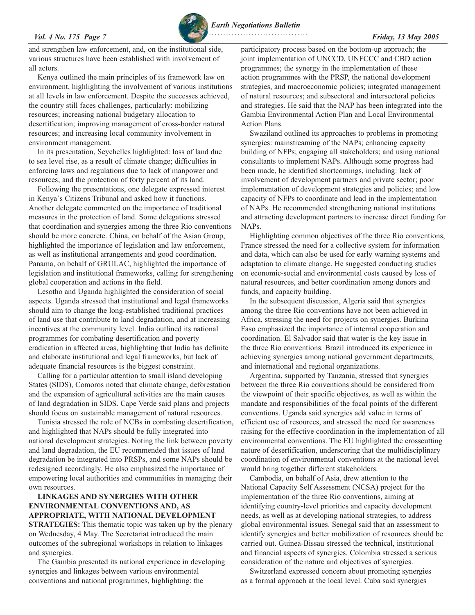### *Vol. 4 No. 175 Page 7 Friday, 13 May 2005*

*Earth Negotiations Bulletin*

 **. . . . . . . . . . . . . . . . . . . . . . . . . . . . . . . . . . .** 

and strengthen law enforcement, and, on the institutional side, various structures have been established with involvement of all actors.

Kenya outlined the main principles of its framework law on environment, highlighting the involvement of various institutions at all levels in law enforcement. Despite the successes achieved, the country still faces challenges, particularly: mobilizing resources; increasing national budgetary allocation to desertification; improving management of cross-border natural resources; and increasing local community involvement in environment management.

In its presentation, Seychelles highlighted: loss of land due to sea level rise, as a result of climate change; difficulties in enforcing laws and regulations due to lack of manpower and resources; and the protection of forty percent of its land.

Following the presentations, one delegate expressed interest in Kenya´s Citizens Tribunal and asked how it functions. Another delegate commented on the importance of traditional measures in the protection of land. Some delegations stressed that coordination and synergies among the three Rio conventions should be more concrete. China, on behalf of the Asian Group, highlighted the importance of legislation and law enforcement, as well as institutional arrangements and good coordination. Panama, on behalf of GRULAC, highlighted the importance of legislation and institutional frameworks, calling for strengthening global cooperation and actions in the field.

Lesotho and Uganda highlighted the consideration of social aspects. Uganda stressed that institutional and legal frameworks should aim to change the long-established traditional practices of land use that contribute to land degradation, and at increasing incentives at the community level. India outlined its national programmes for combating desertification and poverty eradication in affected areas, highlighting that India has definite and elaborate institutional and legal frameworks, but lack of adequate financial resources is the biggest constraint.

Calling for a particular attention to small island developing States (SIDS), Comoros noted that climate change, deforestation and the expansion of agricultural activities are the main causes of land degradation in SIDS. Cape Verde said plans and projects should focus on sustainable management of natural resources.

Tunisia stressed the role of NCBs in combating desertification, and highlighted that NAPs should be fully integrated into national development strategies. Noting the link between poverty and land degradation, the EU recommended that issues of land degradation be integrated into PRSPs, and some NAPs should be redesigned accordingly. He also emphasized the importance of empowering local authorities and communities in managing their own resources.

# **LINKAGES AND SYNERGIES WITH OTHER ENVIRONMENTAL CONVENTIONS AND, AS APPROPRIATE, WITH NATIONAL DEVELOPMENT STRATEGIES:** This thematic topic was taken up by the plenary on Wednesday, 4 May. The Secretariat introduced the main outcomes of the subregional workshops in relation to linkages and synergies.

The Gambia presented its national experience in developing synergies and linkages between various environmental conventions and national programmes, highlighting: the

participatory process based on the bottom-up approach; the joint implementation of UNCCD, UNFCCC and CBD action programmes; the synergy in the implementation of these action programmes with the PRSP, the national development strategies, and macroeconomic policies; integrated management of natural resources; and subsectoral and intersectoral policies and strategies. He said that the NAP has been integrated into the Gambia Environmental Action Plan and Local Environmental Action Plans.

Swaziland outlined its approaches to problems in promoting synergies: mainstreaming of the NAPs; enhancing capacity building of NFPs; engaging all stakeholders; and using national consultants to implement NAPs. Although some progress had been made, he identified shortcomings, including: lack of involvement of development partners and private sector; poor implementation of development strategies and policies; and low capacity of NFPs to coordinate and lead in the implementation of NAPs. He recommended strengthening national institutions and attracting development partners to increase direct funding for NAPs.

Highlighting common objectives of the three Rio conventions, France stressed the need for a collective system for information and data, which can also be used for early warning systems and adaptation to climate change. He suggested conducting studies on economic-social and environmental costs caused by loss of natural resources, and better coordination among donors and funds, and capacity building.

In the subsequent discussion, Algeria said that synergies among the three Rio conventions have not been achieved in Africa, stressing the need for projects on synergies. Burkina Faso emphasized the importance of internal cooperation and coordination. El Salvador said that water is the key issue in the three Rio conventions. Brazil introduced its experience in achieving synergies among national government departments, and international and regional organizations.

Argentina, supported by Tanzania, stressed that synergies between the three Rio conventions should be considered from the viewpoint of their specific objectives, as well as within the mandate and responsibilities of the focal points of the different conventions. Uganda said synergies add value in terms of efficient use of resources, and stressed the need for awareness raising for the effective coordination in the implementation of all environmental conventions. The EU highlighted the crosscutting nature of desertification, underscoring that the multidisciplinary coordination of environmental conventions at the national level would bring together different stakeholders.

Cambodia, on behalf of Asia, drew attention to the National Capacity Self Assessment (NCSA) project for the implementation of the three Rio conventions, aiming at identifying country-level priorities and capacity development needs, as well as at developing national strategies, to address global environmental issues. Senegal said that an assessment to identify synergies and better mobilization of resources should be carried out. Guinea-Bissau stressed the technical, institutional and financial aspects of synergies. Colombia stressed a serious consideration of the nature and objectives of synergies.

Switzerland expressed concern about promoting synergies as a formal approach at the local level. Cuba said synergies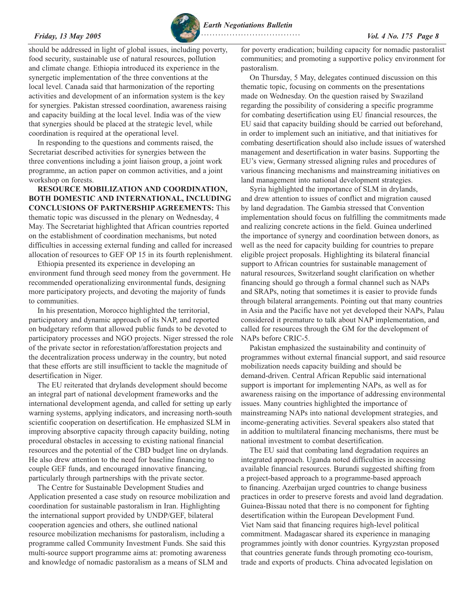

should be addressed in light of global issues, including poverty, food security, sustainable use of natural resources, pollution and climate change. Ethiopia introduced its experience in the synergetic implementation of the three conventions at the local level. Canada said that harmonization of the reporting activities and development of an information system is the key for synergies. Pakistan stressed coordination, awareness raising and capacity building at the local level. India was of the view that synergies should be placed at the strategic level, while coordination is required at the operational level.

In responding to the questions and comments raised, the Secretariat described activities for synergies between the three conventions including a joint liaison group, a joint work programme, an action paper on common activities, and a joint workshop on forests.

**RESOURCE MOBILIZATION AND COORDINATION, BOTH DOMESTIC AND INTERNATIONAL, INCLUDING CONCLUSIONS OF PARTNERSHIP AGREEMENTS:** This thematic topic was discussed in the plenary on Wednesday, 4 May. The Secretariat highlighted that African countries reported on the establishment of coordination mechanisms, but noted difficulties in accessing external funding and called for increased allocation of resources to GEF OP 15 in its fourth replenishment.

Ethiopia presented its experience in developing an environment fund through seed money from the government. He recommended operationalizing environmental funds, designing more participatory projects, and devoting the majority of funds to communities.

In his presentation, Morocco highlighted the territorial, participatory and dynamic approach of its NAP, and reported on budgetary reform that allowed public funds to be devoted to participatory processes and NGO projects. Niger stressed the role of the private sector in reforestation/afforestation projects and the decentralization process underway in the country, but noted that these efforts are still insufficient to tackle the magnitude of desertification in Niger.

The EU reiterated that drylands development should become an integral part of national development frameworks and the international development agenda, and called for setting up early warning systems, applying indicators, and increasing north-south scientific cooperation on desertification. He emphasized SLM in improving absorptive capacity through capacity building, noting procedural obstacles in accessing to existing national financial resources and the potential of the CBD budget line on drylands. He also drew attention to the need for baseline financing to couple GEF funds, and encouraged innovative financing, particularly through partnerships with the private sector.

The Centre for Sustainable Development Studies and Application presented a case study on resource mobilization and coordination for sustainable pastoralism in Iran. Highlighting the international support provided by UNDP/GEF, bilateral cooperation agencies and others, she outlined national resource mobilization mechanisms for pastoralism, including a programme called Community Investment Funds. She said this multi-source support programme aims at: promoting awareness and knowledge of nomadic pastoralism as a means of SLM and

for poverty eradication; building capacity for nomadic pastoralist communities; and promoting a supportive policy environment for pastoralism.

On Thursday, 5 May, delegates continued discussion on this thematic topic, focusing on comments on the presentations made on Wednesday. On the question raised by Swaziland regarding the possibility of considering a specific programme for combating desertification using EU financial resources, the EU said that capacity building should be carried out beforehand, in order to implement such an initiative, and that initiatives for combating desertification should also include issues of watershed management and desertification in water basins. Supporting the EU's view, Germany stressed aligning rules and procedures of various financing mechanisms and mainstreaming initiatives on land management into national development strategies.

Syria highlighted the importance of SLM in drylands, and drew attention to issues of conflict and migration caused by land degradation. The Gambia stressed that Convention implementation should focus on fulfilling the commitments made and realizing concrete actions in the field. Guinea underlined the importance of synergy and coordination between donors, as well as the need for capacity building for countries to prepare eligible project proposals. Highlighting its bilateral financial support to African countries for sustainable management of natural resources, Switzerland sought clarification on whether financing should go through a formal channel such as NAPs and SRAPs, noting that sometimes it is easier to provide funds through bilateral arrangements. Pointing out that many countries in Asia and the Pacific have not yet developed their NAPs, Palau considered it premature to talk about NAP implementation, and called for resources through the GM for the development of NAPs before CRIC-5.

Pakistan emphasized the sustainability and continuity of programmes without external financial support, and said resource mobilization needs capacity building and should be demand-driven. Central African Republic said international support is important for implementing NAPs, as well as for awareness raising on the importance of addressing environmental issues. Many countries highlighted the importance of mainstreaming NAPs into national development strategies, and income-generating activities. Several speakers also stated that in addition to multilateral financing mechanisms, there must be national investment to combat desertification.

The EU said that combating land degradation requires an integrated approach. Uganda noted difficulties in accessing available financial resources. Burundi suggested shifting from a project-based approach to a programme-based approach to financing. Azerbaijan urged countries to change business practices in order to preserve forests and avoid land degradation. Guinea-Bissau noted that there is no component for fighting desertification within the European Development Fund. Viet Nam said that financing requires high-level political commitment. Madagascar shared its experience in managing programmes jointly with donor countries. Kyrgyzstan proposed that countries generate funds through promoting eco-tourism, trade and exports of products. China advocated legislation on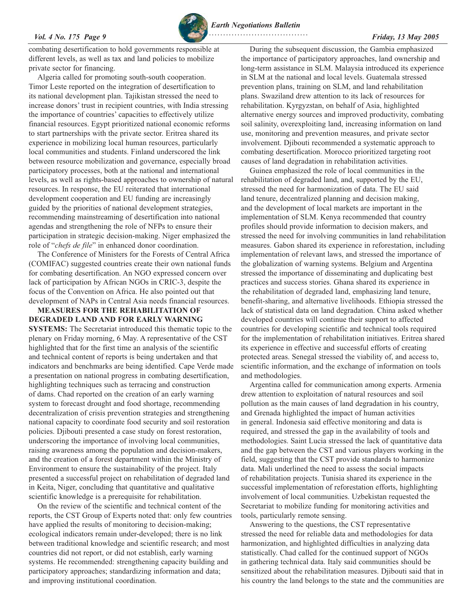

*Earth Negotiations Bulletin*

*Vol. 4 No. 175 Page 9 Friday, 13 May 2005*

combating desertification to hold governments responsible at different levels, as well as tax and land policies to mobilize private sector for financing.

Algeria called for promoting south-south cooperation. Timor Leste reported on the integration of desertification to its national development plan. Tajikistan stressed the need to increase donors' trust in recipient countries, with India stressing the importance of countries' capacities to effectively utilize financial resources. Egypt prioritized national economic reforms to start partnerships with the private sector. Eritrea shared its experience in mobilizing local human resources, particularly local communities and students. Finland underscored the link between resource mobilization and governance, especially broad participatory processes, both at the national and international levels, as well as rights-based approaches to ownership of natural resources. In response, the EU reiterated that international development cooperation and EU funding are increasingly guided by the priorities of national development strategies, recommending mainstreaming of desertification into national agendas and strengthening the role of NFPs to ensure their participation in strategic decision-making. Niger emphasized the role of "*chefs de file*" in enhanced donor coordination.

The Conference of Ministers for the Forests of Central Africa (COMIFAC) suggested countries create their own national funds for combating desertification. An NGO expressed concern over lack of participation by African NGOs in CRIC-3, despite the focus of the Convention on Africa. He also pointed out that development of NAPs in Central Asia needs financial resources.

**MEASURES FOR THE REHABILITATION OF DEGRADED LAND AND FOR EARLY WARNING SYSTEMS:** The Secretariat introduced this thematic topic to the plenary on Friday morning, 6 May. A representative of the CST highlighted that for the first time an analysis of the scientific and technical content of reports is being undertaken and that indicators and benchmarks are being identified. Cape Verde made a presentation on national progress in combating desertification, highlighting techniques such as terracing and construction of dams. Chad reported on the creation of an early warning system to forecast drought and food shortage, recommending decentralization of crisis prevention strategies and strengthening national capacity to coordinate food security and soil restoration policies. Djibouti presented a case study on forest restoration, underscoring the importance of involving local communities, raising awareness among the population and decision-makers, and the creation of a forest department within the Ministry of Environment to ensure the sustainability of the project. Italy presented a successful project on rehabilitation of degraded land in Keita, Niger, concluding that quantitative and qualitative scientific knowledge is a prerequisite for rehabilitation.

On the review of the scientific and technical content of the reports, the CST Group of Experts noted that: only few countries have applied the results of monitoring to decision-making; ecological indicators remain under-developed; there is no link between traditional knowledge and scientific research; and most countries did not report, or did not establish, early warning systems. He recommended: strengthening capacity building and participatory approaches; standardizing information and data; and improving institutional coordination.

During the subsequent discussion, the Gambia emphasized the importance of participatory approaches, land ownership and long-term assistance in SLM. Malaysia introduced its experience in SLM at the national and local levels. Guatemala stressed prevention plans, training on SLM, and land rehabilitation plans. Swaziland drew attention to its lack of resources for rehabilitation. Kyrgyzstan, on behalf of Asia, highlighted alternative energy sources and improved productivity, combating soil salinity, overexploiting land, increasing information on land use, monitoring and prevention measures, and private sector involvement. Djibouti recommended a systematic approach to combating desertification. Morocco prioritized targeting root causes of land degradation in rehabilitation activities.

Guinea emphasized the role of local communities in the rehabilitation of degraded land, and, supported by the EU, stressed the need for harmonization of data. The EU said land tenure, decentralized planning and decision making, and the development of local markets are important in the implementation of SLM. Kenya recommended that country profiles should provide information to decision makers, and stressed the need for involving communities in land rehabilitation measures. Gabon shared its experience in reforestation, including implementation of relevant laws, and stressed the importance of the globalization of warning systems. Belgium and Argentina stressed the importance of disseminating and duplicating best practices and success stories. Ghana shared its experience in the rehabilitation of degraded land, emphasizing land tenure, benefit-sharing, and alternative livelihoods. Ethiopia stressed the lack of statistical data on land degradation. China asked whether developed countries will continue their support to affected countries for developing scientific and technical tools required for the implementation of rehabilitation initiatives. Eritrea shared its experience in effective and successful efforts of creating protected areas. Senegal stressed the viability of, and access to, scientific information, and the exchange of information on tools and methodologies.

Argentina called for communication among experts. Armenia drew attention to exploitation of natural resources and soil pollution as the main causes of land degradation in his country, and Grenada highlighted the impact of human activities in general. Indonesia said effective monitoring and data is required, and stressed the gap in the availability of tools and methodologies. Saint Lucia stressed the lack of quantitative data and the gap between the CST and various players working in the field, suggesting that the CST provide standards to harmonize data. Mali underlined the need to assess the social impacts of rehabilitation projects. Tunisia shared its experience in the successful implementation of reforestation efforts, highlighting involvement of local communities. Uzbekistan requested the Secretariat to mobilize funding for monitoring activities and tools, particularly remote sensing.

Answering to the questions, the CST representative stressed the need for reliable data and methodologies for data harmonization, and highlighted difficulties in analyzing data statistically. Chad called for the continued support of NGOs in gathering technical data. Italy said communities should be sensitized about the rehabilitation measures. Djibouti said that in his country the land belongs to the state and the communities are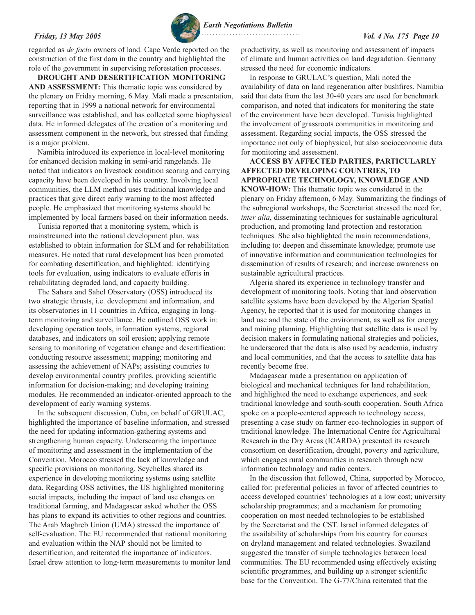regarded as *de facto* owners of land. Cape Verde reported on the construction of the first dam in the country and highlighted the role of the government in supervising reforestation processes.

**DROUGHT AND DESERTIFICATION MONITORING AND ASSESSMENT:** This thematic topic was considered by the plenary on Friday morning, 6 May. Mali made a presentation, reporting that in 1999 a national network for environmental surveillance was established, and has collected some biophysical data. He informed delegates of the creation of a monitoring and assessment component in the network, but stressed that funding is a major problem.

Namibia introduced its experience in local-level monitoring for enhanced decision making in semi-arid rangelands. He noted that indicators on livestock condition scoring and carrying capacity have been developed in his country. Involving local communities, the LLM method uses traditional knowledge and practices that give direct early warning to the most affected people. He emphasized that monitoring systems should be implemented by local farmers based on their information needs.

Tunisia reported that a monitoring system, which is mainstreamed into the national development plan, was established to obtain information for SLM and for rehabilitation measures. He noted that rural development has been promoted for combating desertification, and highlighted: identifying tools for evaluation, using indicators to evaluate efforts in rehabilitating degraded land, and capacity building.

The Sahara and Sahel Observatory (OSS) introduced its two strategic thrusts, i.e. development and information, and its observatories in 11 countries in Africa, engaging in longterm monitoring and surveillance. He outlined OSS work in: developing operation tools, information systems, regional databases, and indicators on soil erosion; applying remote sensing to monitoring of vegetation change and desertification; conducting resource assessment; mapping; monitoring and assessing the achievement of NAPs; assisting countries to develop environmental country profiles, providing scientific information for decision-making; and developing training modules. He recommended an indicator-oriented approach to the development of early warning systems.

In the subsequent discussion, Cuba, on behalf of GRULAC, highlighted the importance of baseline information, and stressed the need for updating information-gathering systems and strengthening human capacity. Underscoring the importance of monitoring and assessment in the implementation of the Convention, Morocco stressed the lack of knowledge and specific provisions on monitoring. Seychelles shared its experience in developing monitoring systems using satellite data. Regarding OSS activities, the US highlighted monitoring social impacts, including the impact of land use changes on traditional farming, and Madagascar asked whether the OSS has plans to expand its activities to other regions and countries. The Arab Maghreb Union (UMA) stressed the importance of self-evaluation. The EU recommended that national monitoring and evaluation within the NAP should not be limited to desertification, and reiterated the importance of indicators. Israel drew attention to long-term measurements to monitor land productivity, as well as monitoring and assessment of impacts of climate and human activities on land degradation. Germany stressed the need for economic indicators.

In response to GRULAC's question, Mali noted the availability of data on land regeneration after bushfires. Namibia said that data from the last 30-40 years are used for benchmark comparison, and noted that indicators for monitoring the state of the environment have been developed. Tunisia highlighted the involvement of grassroots communities in monitoring and assessment. Regarding social impacts, the OSS stressed the importance not only of biophysical, but also socioeconomic data for monitoring and assessment.

**ACCESS BY AFFECTED PARTIES, PARTICULARLY AFFECTED DEVELOPING COUNTRIES, TO APPROPRIATE TECHNOLOGY, KNOWLEDGE AND KNOW-HOW:** This thematic topic was considered in the plenary on Friday afternoon, 6 May. Summarizing the findings of the subregional workshops, the Secretariat stressed the need for, *inter alia*, disseminating techniques for sustainable agricultural production, and promoting land protection and restoration techniques. She also highlighted the main recommendations, including to: deepen and disseminate knowledge; promote use of innovative information and communication technologies for dissemination of results of research; and increase awareness on sustainable agricultural practices.

Algeria shared its experience in technology transfer and development of monitoring tools. Noting that land observation satellite systems have been developed by the Algerian Spatial Agency, he reported that it is used for monitoring changes in land use and the state of the environment, as well as for energy and mining planning. Highlighting that satellite data is used by decision makers in formulating national strategies and policies, he underscored that the data is also used by academia, industry and local communities, and that the access to satellite data has recently become free.

Madagascar made a presentation on application of biological and mechanical techniques for land rehabilitation, and highlighted the need to exchange experiences, and seek traditional knowledge and south-south cooperation. South Africa spoke on a people-centered approach to technology access, presenting a case study on farmer eco-technologies in support of traditional knowledge. The International Centre for Agricultural Research in the Dry Areas (ICARDA) presented its research consortium on desertification, drought, poverty and agriculture, which engages rural communities in research through new information technology and radio centers.

In the discussion that followed, China, supported by Morocco, called for: preferential policies in favor of affected countries to access developed countries' technologies at a low cost; university scholarship programmes; and a mechanism for promoting cooperation on most needed technologies to be established by the Secretariat and the CST. Israel informed delegates of the availability of scholarships from his country for courses on dryland management and related technologies. Swaziland suggested the transfer of simple technologies between local communities. The EU recommended using effectively existing scientific programmes, and building up a stronger scientific base for the Convention. The G-77/China reiterated that the

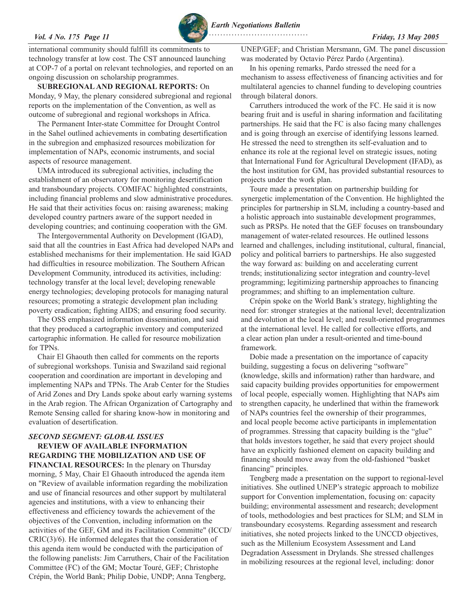### <span id="page-10-0"></span>*Vol. 4 No. 175 Page 11 Friday, 13 May 2005*

international community should fulfill its commitments to technology transfer at low cost. The CST announced launching at COP-7 of a portal on relevant technologies, and reported on an ongoing discussion on scholarship programmes.

**SUBREGIONAL AND REGIONAL REPORTS:** On Monday, 9 May, the plenary considered subregional and regional reports on the implementation of the Convention, as well as outcome of subregional and regional workshops in Africa.

The Permanent Inter-state Committee for Drought Control in the Sahel outlined achievements in combating desertification in the subregion and emphasized resources mobilization for implementation of NAPs, economic instruments, and social aspects of resource management.

UMA introduced its subregional activities, including the establishment of an observatory for monitoring desertification and transboundary projects. COMIFAC highlighted constraints, including financial problems and slow administrative procedures. He said that their activities focus on: raising awareness; making developed country partners aware of the support needed in developing countries; and continuing cooperation with the GM.

The Intergovernmental Authority on Development (IGAD), said that all the countries in East Africa had developed NAPs and established mechanisms for their implementation. He said IGAD had difficulties in resource mobilization. The Southern African Development Community, introduced its activities, including: technology transfer at the local level; developing renewable energy technologies; developing protocols for managing natural resources; promoting a strategic development plan including poverty eradication; fighting AIDS; and ensuring food security.

The OSS emphasized information dissemination, and said that they produced a cartographic inventory and computerized cartographic information. He called for resource mobilization for TPNs.

Chair El Ghaouth then called for comments on the reports of subregional workshops. Tunisia and Swaziland said regional cooperation and coordination are important in developing and implementing NAPs and TPNs. The Arab Center for the Studies of Arid Zones and Dry Lands spoke about early warning systems in the Arab region. The African Organization of Cartography and Remote Sensing called for sharing know-how in monitoring and evaluation of desertification.

### *SECOND SEGMENT: GLOBAL ISSUES* **REVIEW OF AVAILABLE INFORMATION**

**REGARDING THE MOBILIZATION AND USE OF FINANCIAL RESOURCES:** In the plenary on Thursday morning, 5 May, Chair El Ghaouth introduced the agenda item on "Review of available information regarding the mobilization and use of financial resources and other support by multilateral agencies and institutions, with a view to enhancing their effectiveness and efficiency towards the achievement of the objectives of the Convention, including information on the activities of the GEF, GM and its Facilitation Committe" (ICCD/  $CRIC(3)/6$ . He informed delegates that the consideration of this agenda item would be conducted with the participation of the following panelists: Jim Carruthers, Chair of the Facilitation Committee (FC) of the GM; Moctar Touré, GEF; Christophe Crépin, the World Bank; Philip Dobie, UNDP; Anna Tengberg,

UNEP/GEF; and Christian Mersmann, GM. The panel discussion was moderated by Octavio Pérez Pardo (Argentina).

In his opening remarks, Pardo stressed the need for a mechanism to assess effectiveness of financing activities and for multilateral agencies to channel funding to developing countries through bilateral donors.

Carruthers introduced the work of the FC. He said it is now bearing fruit and is useful in sharing information and facilitating partnerships. He said that the FC is also facing many challenges and is going through an exercise of identifying lessons learned. He stressed the need to strengthen its self-evaluation and to enhance its role at the regional level on strategic issues, noting that International Fund for Agricultural Development (IFAD), as the host institution for GM, has provided substantial resources to projects under the work plan.

Toure made a presentation on partnership building for synergetic implementation of the Convention. He highlighted the principles for partnership in SLM, including a country-based and a holistic approach into sustainable development programmes, such as PRSPs. He noted that the GEF focuses on transboundary management of water-related resources. He outlined lessons learned and challenges, including institutional, cultural, financial, policy and political barriers to partnerships. He also suggested the way forward as: building on and accelerating current trends; institutionalizing sector integration and country-level programming; legitimizing partnership approaches to financing programmes; and shifting to an implementation culture.

Crépin spoke on the World Bank's strategy, highlighting the need for: stronger strategies at the national level; decentralization and devolution at the local level; and result-oriented programmes at the international level. He called for collective efforts, and a clear action plan under a result-oriented and time-bound framework.

Dobie made a presentation on the importance of capacity building, suggesting a focus on delivering "software" (knowledge, skills and information) rather than hardware, and said capacity building provides opportunities for empowerment of local people, especially women. Highlighting that NAPs aim to strengthen capacity, he underlined that within the framework of NAPs countries feel the ownership of their programmes, and local people become active participants in implementation of programmes. Stressing that capacity building is the "glue" that holds investors together, he said that every project should have an explicitly fashioned element on capacity building and financing should move away from the old-fashioned "basket financing" principles.

Tengberg made a presentation on the support to regional-level initiatives. She outlined UNEP's strategic approach to mobilize support for Convention implementation, focusing on: capacity building; environmental assessment and research; development of tools, methodologies and best practices for SLM; and SLM in transboundary ecosystems. Regarding assessment and research initiatives, she noted projects linked to the UNCCD objectives, such as the Millenium Ecosystem Assessment and Land Degradation Assessment in Drylands. She stressed challenges in mobilizing resources at the regional level, including: donor

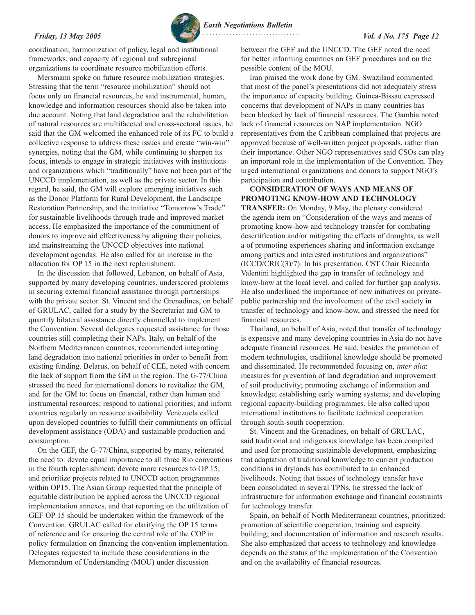coordination; harmonization of policy, legal and institutional frameworks; and capacity of regional and subregional organizations to coordinate resource mobilization efforts.

Mersmann spoke on future resource mobilization strategies. Stressing that the term "resource mobilization" should not focus only on financial resources, he said instrumental, human, knowledge and information resources should also be taken into due account. Noting that land degradation and the rehabilitation of natural resources are multifaceted and cross-sectoral issues, he said that the GM welcomed the enhanced role of its FC to build a collective response to address these issues and create "win-win" synergies, noting that the GM, while continuing to sharpen its focus, intends to engage in strategic initiatives with institutions and organizations which "traditionally" have not been part of the UNCCD implementation, as well as the private sector. In this regard, he said, the GM will explore emerging initiatives such as the Donor Platform for Rural Development, the Landscape Restoration Partnership, and the initiative "Tomorrow's Trade" for sustainable livelihoods through trade and improved market access. He emphasized the importance of the commitment of donors to improve aid effectiveness by aligning their policies, and mainstreaming the UNCCD objectives into national development agendas. He also called for an increase in the allocation for OP 15 in the next replenishment.

In the discussion that followed, Lebanon, on behalf of Asia, supported by many developing countries, underscored problems in securing external financial assistance through partnerships with the private sector. St. Vincent and the Grenadines, on behalf of GRULAC, called for a study by the Secretariat and GM to quantify bilateral assistance directly channelled to implement the Convention. Several delegates requested assistance for those countries still completing their NAPs. Italy, on behalf of the Northern Mediterranean countries, recommended integrating land degradation into national priorities in order to benefit from existing funding. Belarus, on behalf of CEE, noted with concern the lack of support from the GM in the region. The G-77/China stressed the need for international donors to revitalize the GM, and for the GM to: focus on financial, rather than human and instrumental resources; respond to national priorities; and inform countries regularly on resource availability. Venezuela called upon developed countries to fulfill their commitments on official development assistance (ODA) and sustainable production and consumption.

On the GEF, the G-77/China, supported by many, reiterated the need to: devote equal importance to all three Rio conventions in the fourth replenishment; devote more resources to OP 15; and prioritize projects related to UNCCD action programmes within OP15. The Asian Group requested that the principle of equitable distribution be applied across the UNCCD regional implementation annexes, and that reporting on the utilization of GEF OP 15 should be undertaken within the framework of the Convention. GRULAC called for clarifying the OP 15 terms of reference and for ensuring the central role of the COP in policy formulation on financing the convention implementation. Delegates requested to include these considerations in the Memorandum of Understanding (MOU) under discussion

between the GEF and the UNCCD. The GEF noted the need for better informing countries on GEF procedures and on the possible content of the MOU.

Iran praised the work done by GM. Swaziland commented that most of the panel's presentations did not adequately stress the importance of capacity building. Guinea-Bissau expressed concerns that development of NAPs in many countries has been blocked by lack of financial resources. The Gambia noted lack of financial resources on NAP implementation. NGO representatives from the Caribbean complained that projects are approved because of well-written project proposals, rather than their importance. Other NGO representatives said CSOs can play an important role in the implementation of the Convention. They urged international organizations and donors to support NGO's participation and contribution.

**CONSIDERATION OF WAYS AND MEANS OF PROMOTING KNOW-HOW AND TECHNOLOGY TRANSFER:** On Monday, 9 May, the plenary considered the agenda item on "Consideration of the ways and means of promoting know-how and technology transfer for combating desertification and/or mitigating the effects of droughts, as well a of promoting experiences sharing and information exchange among parties and interested institutions and organizations" (ICCD/CRIC(3)/7). In his presentation, CST Chair Riccardo Valentini highlighted the gap in transfer of technology and know-how at the local level, and called for further gap analysis. He also underlined the importance of new initiatives on privatepublic partnership and the involvement of the civil society in transfer of technology and know-how, and stressed the need for financial resources.

Thailand, on behalf of Asia, noted that transfer of technology is expensive and many developing countries in Asia do not have adequate financial resources. He said, besides the promotion of modern technologies, traditional knowledge should be promoted and disseminated. He recommended focusing on, *inter alia*: measures for prevention of land degradation and improvement of soil productivity; promoting exchange of information and knowledge; establishing early warning systems; and developing regional capacity-building programmes. He also called upon international institutions to facilitate technical cooperation through south-south cooperation.

St. Vincent and the Grenadines, on behalf of GRULAC, said traditional and indigenous knowledge has been compiled and used for promoting sustainable development, emphasizing that adaptation of traditional knowledge to current production conditions in drylands has contributed to an enhanced livelihoods. Noting that issues of technology transfer have been consolidated in several TPNs, he stressed the lack of infrastructure for information exchange and financial constraints for technology transfer.

Spain, on behalf of North Mediterranean countries, prioritized: promotion of scientific cooperation, training and capacity building; and documentation of information and research results. She also emphasized that access to technology and knowledge depends on the status of the implementation of the Convention and on the availability of financial resources.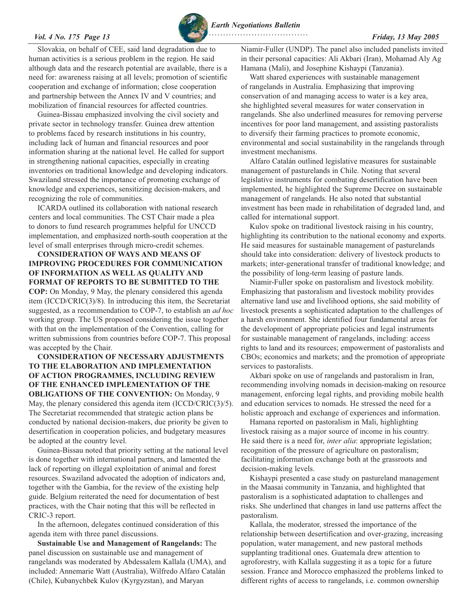*Earth Negotiations Bulletin*

Slovakia, on behalf of CEE, said land degradation due to human activities is a serious problem in the region. He said although data and the research potential are available, there is a need for: awareness raising at all levels; promotion of scientific cooperation and exchange of information; close cooperation and partnership between the Annex IV and V countries; and mobilization of financial resources for affected countries.

Guinea-Bissau emphasized involving the civil society and private sector in technology transfer. Guinea drew attention to problems faced by research institutions in his country, including lack of human and financial resources and poor information sharing at the national level. He called for support in strengthening national capacities, especially in creating inventories on traditional knowledge and developing indicators. Swaziland stressed the importance of promoting exchange of knowledge and experiences, sensitizing decision-makers, and recognizing the role of communities.

ICARDA outlined its collaboration with national research centers and local communities. The CST Chair made a plea to donors to fund research programmes helpful for UNCCD implementation, and emphasized north-south cooperation at the level of small enterprises through micro-credit schemes.

# **CONSIDERATION OF WAYS AND MEANS OF IMPROVING PROCEDURES FOR COMMUNICATION OF INFORMATION AS WELL AS QUALITY AND FORMAT OF REPORTS TO BE SUBMITTED TO THE**

**COP:** On Monday, 9 May, the plenary considered this agenda item (ICCD/CRIC(3)/8). In introducing this item, the Secretariat suggested, as a recommendation to COP-7, to establish an *ad hoc* working group. The US proposed considering the issue together with that on the implementation of the Convention, calling for written submissions from countries before COP-7. This proposal was accepted by the Chair.

**CONSIDERATION OF NECESSARY ADJUSTMENTS TO THE ELABORATION AND IMPLEMENTATION OF ACTION PROGRAMMES, INCLUDING REVIEW OF THE ENHANCED IMPLEMENTATION OF THE OBLIGATIONS OF THE CONVENTION:** On Monday, 9 May, the plenary considered this agenda item (ICCD/CRIC(3)/5). The Secretariat recommended that strategic action plans be conducted by national decision-makers, due priority be given to desertification in cooperation policies, and budgetary measures be adopted at the country level.

Guinea-Bissau noted that priority setting at the national level is done together with international partners, and lamented the lack of reporting on illegal exploitation of animal and forest resources. Swaziland advocated the adoption of indicators and, together with the Gambia, for the review of the existing help guide. Belgium reiterated the need for documentation of best practices, with the Chair noting that this will be reflected in CRIC-3 report.

In the afternoon, delegates continued consideration of this agenda item with three panel discussions.

**Sustainable Use and Management of Rangelands:** The panel discussion on sustainable use and management of rangelands was moderated by Abdessalem Kallala (UMA), and included: Annemarie Watt (Australia), Wilfredo Alfaro Catalán (Chile), Kubanychbek Kulov (Kyrgyzstan), and Maryan

Niamir-Fuller (UNDP). The panel also included panelists invited in their personal capacities: Ali Akbari (Iran), Mohamad Aly Ag Hamana (Mali), and Josephine Kishaypi (Tanzania).

Watt shared experiences with sustainable management of rangelands in Australia. Emphasizing that improving conservation of and managing access to water is a key area, she highlighted several measures for water conservation in rangelands. She also underlined measures for removing perverse incentives for poor land management, and assisting pastoralists to diversify their farming practices to promote economic, environmental and social sustainability in the rangelands through investment mechanisms.

Alfaro Catalán outlined legislative measures for sustainable management of pasturelands in Chile. Noting that several legislative instruments for combating desertification have been implemented, he highlighted the Supreme Decree on sustainable management of rangelands. He also noted that substantial investment has been made in rehabilitation of degraded land, and called for international support.

Kulov spoke on traditional livestock raising in his country, highlighting its contribution to the national economy and exports. He said measures for sustainable management of pasturelands should take into consideration: delivery of livestock products to markets; inter-generational transfer of traditional knowledge; and the possibility of long-term leasing of pasture lands.

Niamir-Fuller spoke on pastoralism and livestock mobility. Emphasizing that pastoralism and livestock mobility provides alternative land use and livelihood options, she said mobility of livestock presents a sophisticated adaptation to the challenges of a harsh environment. She identified four fundamental areas for the development of appropriate policies and legal instruments for sustainable management of rangelands, including: access rights to land and its resources; empowerment of pastoralists and CBOs; economics and markets; and the promotion of appropriate services to pastoralists.

Akbari spoke on use of rangelands and pastoralism in Iran, recommending involving nomads in decision-making on resource management, enforcing legal rights, and providing mobile health and education services to nomads. He stressed the need for a holistic approach and exchange of experiences and information.

Hamana reported on pastoralism in Mali, highlighting livestock raising as a major source of income in his country. He said there is a need for, *inter alia*: appropriate legislation; recognition of the pressure of agriculture on pastoralism; facilitating information exchange both at the grassroots and decision-making levels.

Kishaypi presented a case study on pastureland management in the Maasai community in Tanzania, and highlighted that pastoralism is a sophisticated adaptation to challenges and risks. She underlined that changes in land use patterns affect the pastoralism.

Kallala, the moderator, stressed the importance of the relationship between desertification and over-grazing, increasing population, water management, and new pastoral methods supplanting traditional ones. Guatemala drew attention to agroforestry, with Kallala suggesting it as a topic for a future session. France and Morocco emphasized the problems linked to different rights of access to rangelands, i.e. common ownership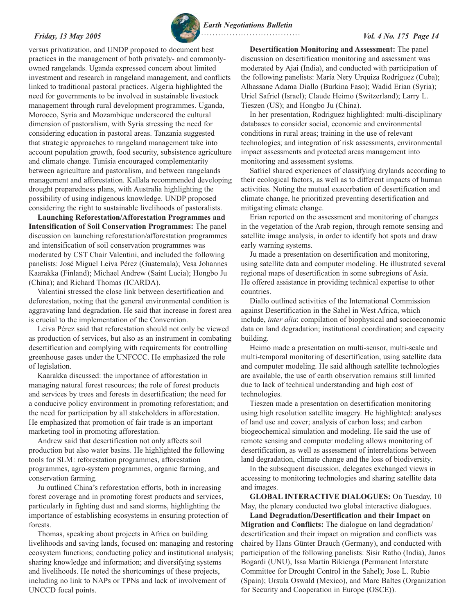

versus privatization, and UNDP proposed to document best practices in the management of both privately- and commonlyowned rangelands. Uganda expressed concern about limited investment and research in rangeland management, and conflicts linked to traditional pastoral practices. Algeria highlighted the need for governments to be involved in sustainable livestock management through rural development programmes. Uganda, Morocco, Syria and Mozambique underscored the cultural dimension of pastoralism, with Syria stressing the need for considering education in pastoral areas. Tanzania suggested that strategic approaches to rangeland management take into account population growth, food security, subsistence agriculture and climate change. Tunisia encouraged complementarity between agriculture and pastoralism, and between rangelands management and afforestation. Kallala recommended developing drought preparedness plans, with Australia highlighting the possibility of using indigenous knowledge. UNDP proposed considering the right to sustainable livelihoods of pastoralists.

**Launching Reforestation/Afforestation Programmes and Intensification of Soil Conservation Programmes:** The panel discussion on launching reforestation/afforestation programmes and intensification of soil conservation programmes was moderated by CST Chair Valentini, and included the following panelists: José Miguel Leiva Pérez (Guatemala); Vesa Johannes Kaarakka (Finland); Michael Andrew (Saint Lucia); Hongbo Ju (China); and Richard Thomas (ICARDA).

Valentini stressed the close link between desertification and deforestation, noting that the general environmental condition is aggravating land degradation. He said that increase in forest area is crucial to the implementation of the Convention.

Leiva Pérez said that reforestation should not only be viewed as production of services, but also as an instrument in combating desertification and complying with requirements for controlling greenhouse gases under the UNFCCC. He emphasized the role of legislation.

Kaarakka discussed: the importance of afforestation in managing natural forest resources; the role of forest products and services by trees and forests in desertification; the need for a conducive policy environment in promoting reforestation; and the need for participation by all stakeholders in afforestation. He emphasized that promotion of fair trade is an important marketing tool in promoting afforestation.

Andrew said that desertification not only affects soil production but also water basins. He highlighted the following tools for SLM: reforestation programmes, afforestation programmes, agro-system programmes, organic farming, and conservation farming.

Ju outlined China's reforestation efforts, both in increasing forest coverage and in promoting forest products and services, particularly in fighting dust and sand storms, highlighting the importance of establishing ecosystems in ensuring protection of forests.

Thomas, speaking about projects in Africa on building livelihoods and saving lands, focused on: managing and restoring ecosystem functions; conducting policy and institutional analysis; sharing knowledge and information; and diversifying systems and livelihoods. He noted the shortcomings of these projects, including no link to NAPs or TPNs and lack of involvement of UNCCD focal points.

**Desertification Monitoring and Assessment:** The panel discussion on desertification monitoring and assessment was moderated by Ajai (India), and conducted with participation of the following panelists: María Nery Urquiza Rodríguez (Cuba); Alhassane Adama Diallo (Burkina Faso); Wadid Erian (Syria); Uriel Safriel (Israel); Claude Heimo (Switzerland); Larry L. Tieszen (US); and Hongbo Ju (China).

In her presentation, Rodriguez highlighted: multi-disciplinary databases to consider social, economic and environmental conditions in rural areas; training in the use of relevant technologies; and integration of risk assessments, environmental impact assessments and protected areas management into monitoring and assessment systems.

Safriel shared experiences of classifying drylands according to their ecological factors, as well as to different impacts of human activities. Noting the mutual exacerbation of desertification and climate change, he prioritized preventing desertification and mitigating climate change.

Erian reported on the assessment and monitoring of changes in the vegetation of the Arab region, through remote sensing and satellite image analysis, in order to identify hot spots and draw early warning systems.

Ju made a presentation on desertification and monitoring, using satellite data and computer modeling. He illustrated several regional maps of desertification in some subregions of Asia. He offered assistance in providing technical expertise to other countries.

Diallo outlined activities of the International Commission against Desertification in the Sahel in West Africa, which include, *inter alia*: compilation of biophysical and socioeconomic data on land degradation; institutional coordination; and capacity building.

Heimo made a presentation on multi-sensor, multi-scale and multi-temporal monitoring of desertification, using satellite data and computer modeling. He said although satellite technologies are available, the use of earth observation remains still limited due to lack of technical understanding and high cost of technologies.

Tieszen made a presentation on desertification monitoring using high resolution satellite imagery. He highlighted: analyses of land use and cover; analysis of carbon loss; and carbon biogeochemical simulation and modeling. He said the use of remote sensing and computer modeling allows monitoring of desertification, as well as assessment of interrelations between land degradation, climate change and the loss of biodiversity.

In the subsequent discussion, delegates exchanged views in accessing to monitoring technologies and sharing satellite data and images.

**GLOBAL INTERACTIVE DIALOGUES:** On Tuesday, 10 May, the plenary conducted two global interactive dialogues.

**Land Degradation/Desertification and their Impact on Migration and Conflicts:** The dialogue on land degradation/ desertification and their impact on migration and conflicts was chaired by Hans Günter Brauch (Germany), and conducted with participation of the following panelists: Sisir Ratho (India), Janos Bogardi (UNU), Issa Martin Bikienga (Permanent Interstate Committee for Drought Control in the Sahel); Jose L. Rubio (Spain); Ursula Oswald (Mexico), and Marc Baltes (Organization for Security and Cooperation in Europe (OSCE)).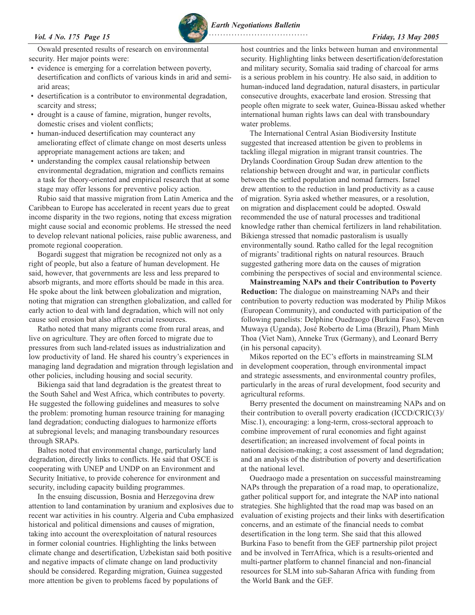*Earth Negotiations Bulletin*

Oswald presented results of research on environmental security. Her major points were:

- evidence is emerging for a correlation between poverty, desertification and conflicts of various kinds in arid and semiarid areas;
- desertification is a contributor to environmental degradation, scarcity and stress;
- drought is a cause of famine, migration, hunger revolts, domestic crises and violent conflicts;
- human-induced desertification may counteract any ameliorating effect of climate change on most deserts unless appropriate management actions are taken; and
- understanding the complex causal relationship between environmental degradation, migration and conflicts remains a task for theory-oriented and empirical research that at some stage may offer lessons for preventive policy action.

Rubio said that massive migration from Latin America and the Caribbean to Europe has accelerated in recent years due to great income disparity in the two regions, noting that excess migration might cause social and economic problems. He stressed the need to develop relevant national policies, raise public awareness, and promote regional cooperation.

Bogardi suggest that migration be recognized not only as a right of people, but also a feature of human development. He said, however, that governments are less and less prepared to absorb migrants, and more efforts should be made in this area. He spoke about the link between globalization and migration, noting that migration can strengthen globalization, and called for early action to deal with land degradation, which will not only cause soil erosion but also affect crucial resources.

Ratho noted that many migrants come from rural areas, and live on agriculture. They are often forced to migrate due to pressures from such land-related issues as industrialization and low productivity of land. He shared his country's experiences in managing land degradation and migration through legislation and other policies, including housing and social security.

Bikienga said that land degradation is the greatest threat to the South Sahel and West Africa, which contributes to poverty. He suggested the following guidelines and measures to solve the problem: promoting human resource training for managing land degradation; conducting dialogues to harmonize efforts at subregional levels; and managing transboundary resources through SRAPs.

Baltes noted that environmental change, particularly land degradation, directly links to conflicts. He said that OSCE is cooperating with UNEP and UNDP on an Environment and Security Initiative, to provide coherence for environment and security, including capacity building programmes.

In the ensuing discussion, Bosnia and Herzegovina drew attention to land contamination by uranium and explosives due to recent war activities in his country. Algeria and Cuba emphasized historical and political dimensions and causes of migration, taking into account the overexploitation of natural resources in former colonial countries. Highlighting the links between climate change and desertification, Uzbekistan said both positive and negative impacts of climate change on land productivity should be considered. Regarding migration, Guinea suggested more attention be given to problems faced by populations of

host countries and the links between human and environmental security. Highlighting links between desertification/deforestation and military security, Somalia said trading of charcoal for arms is a serious problem in his country. He also said, in addition to human-induced land degradation, natural disasters, in particular consecutive droughts, exacerbate land erosion. Stressing that people often migrate to seek water, Guinea-Bissau asked whether international human rights laws can deal with transboundary water problems.

The International Central Asian Biodiversity Institute suggested that increased attention be given to problems in tackling illegal migration in migrant transit countries. The Drylands Coordination Group Sudan drew attention to the relationship between drought and war, in particular conflicts between the settled population and nomad farmers. Israel drew attention to the reduction in land productivity as a cause of migration. Syria asked whether measures, or a resolution, on migration and displacement could be adopted. Oswald recommended the use of natural processes and traditional knowledge rather than chemical fertilizers in land rehabilitation. Bikienga stressed that nomadic pastoralism is usually environmentally sound. Ratho called for the legal recognition of migrants' traditional rights on natural resources. Brauch suggested gathering more data on the causes of migration combining the perspectives of social and environmental science.

**Mainstreaming NAPs and their Contribution to Poverty Reduction:** The dialogue on mainstreaming NAPs and their contribution to poverty reduction was moderated by Philip Mikos (European Community), and conducted with participation of the following panelists: Delphine Ouedraogo (Burkina Faso), Steven Muwaya (Uganda), José Roberto de Lima (Brazil), Pham Minh Thoa (Viet Nam), Anneke Trux (Germany), and Leonard Berry (in his personal capacity).

Mikos reported on the EC's efforts in mainstreaming SLM in development cooperation, through environmental impact and strategic assessments, and environmental country profiles, particularly in the areas of rural development, food security and agricultural reforms.

Berry presented the document on mainstreaming NAPs and on their contribution to overall poverty eradication (ICCD/CRIC(3)/ Misc.1), encouraging: a long-term, cross-sectoral approach to combine improvement of rural economies and fight against desertification; an increased involvement of focal points in national decision-making; a cost assessment of land degradation; and an analysis of the distribution of poverty and desertification at the national level.

Ouedraogo made a presentation on successful mainstreaming NAPs through the preparation of a road map, to operationalize, gather political support for, and integrate the NAP into national strategies. She highlighted that the road map was based on an evaluation of existing projects and their links with desertification concerns, and an estimate of the financial needs to combat desertification in the long term. She said that this allowed Burkina Faso to benefit from the GEF partnership pilot project and be involved in TerrAfrica, which is a results-oriented and multi-partner platform to channel financial and non-financial resources for SLM into sub-Saharan Africa with funding from the World Bank and the GEF.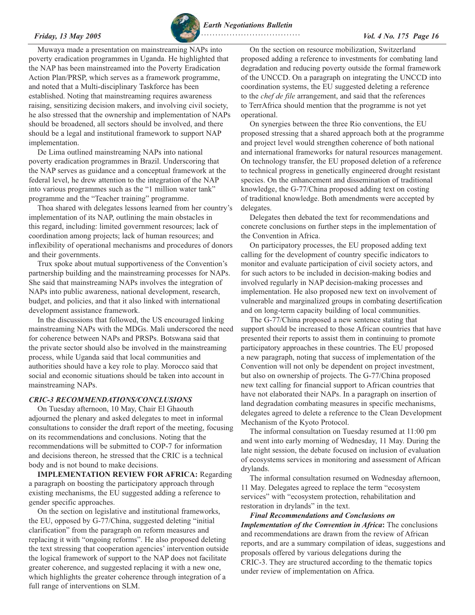<span id="page-15-0"></span>

Muwaya made a presentation on mainstreaming NAPs into poverty eradication programmes in Uganda. He highlighted that the NAP has been mainstreamed into the Poverty Eradication Action Plan/PRSP, which serves as a framework programme, and noted that a Multi-disciplinary Taskforce has been established. Noting that mainstreaming requires awareness raising, sensitizing decision makers, and involving civil society, he also stressed that the ownership and implementation of NAPs should be broadened, all sectors should be involved, and there should be a legal and institutional framework to support NAP implementation.

De Lima outlined mainstreaming NAPs into national poverty eradication programmes in Brazil. Underscoring that the NAP serves as guidance and a conceptual framework at the federal level, he drew attention to the integration of the NAP into various programmes such as the "1 million water tank" programme and the "Teacher training" programme.

Thoa shared with delegates lessons learned from her country's implementation of its NAP, outlining the main obstacles in this regard, including: limited government resources; lack of coordination among projects; lack of human resources; and inflexibility of operational mechanisms and procedures of donors and their governments.

Trux spoke about mutual supportiveness of the Convention's partnership building and the mainstreaming processes for NAPs. She said that mainstreaming NAPs involves the integration of NAPs into public awareness, national development, research, budget, and policies, and that it also linked with international development assistance framework.

In the discussions that followed, the US encouraged linking mainstreaming NAPs with the MDGs. Mali underscored the need for coherence between NAPs and PRSPs. Botswana said that the private sector should also be involved in the mainstreaming process, while Uganda said that local communities and authorities should have a key role to play. Morocco said that social and economic situations should be taken into account in mainstreaming NAPs.

# *CRIC-3 RECOMMENDATIONS/CONCLUSIONS*

On Tuesday afternoon, 10 May, Chair El Ghaouth adjourned the plenary and asked delegates to meet in informal consultations to consider the draft report of the meeting, focusing on its recommendations and conclusions. Noting that the recommendations will be submitted to COP-7 for information and decisions thereon, he stressed that the CRIC is a technical body and is not bound to make decisions.

**IMPLEMENTATION REVIEW FOR AFRICA:** Regarding a paragraph on boosting the participatory approach through existing mechanisms, the EU suggested adding a reference to gender specific approaches.

On the section on legislative and institutional frameworks, the EU, opposed by G-77/China, suggested deleting "initial clarification" from the paragraph on reform measures and replacing it with "ongoing reforms". He also proposed deleting the text stressing that cooperation agencies' intervention outside the logical framework of support to the NAP does not facilitate greater coherence, and suggested replacing it with a new one, which highlights the greater coherence through integration of a full range of interventions on SLM.

On the section on resource mobilization, Switzerland proposed adding a reference to investments for combating land degradation and reducing poverty outside the formal framework of the UNCCD. On a paragraph on integrating the UNCCD into coordination systems, the EU suggested deleting a reference to the *chef de file* arrangement, and said that the references to TerrAfrica should mention that the programme is not yet operational.

On synergies between the three Rio conventions, the EU proposed stressing that a shared approach both at the programme and project level would strengthen coherence of both national and international frameworks for natural resources management. On technology transfer, the EU proposed deletion of a reference to technical progress in genetically engineered drought resistant species. On the enhancement and dissemination of traditional knowledge, the G-77/China proposed adding text on costing of traditional knowledge. Both amendments were accepted by delegates.

Delegates then debated the text for recommendations and concrete conclusions on further steps in the implementation of the Convention in Africa.

On participatory processes, the EU proposed adding text calling for the development of country specific indicators to monitor and evaluate participation of civil society actors, and for such actors to be included in decision-making bodies and involved regularly in NAP decision-making processes and implementation. He also proposed new text on involvement of vulnerable and marginalized groups in combating desertification and on long-term capacity building of local communities.

The G-77/China proposed a new sentence stating that support should be increased to those African countries that have presented their reports to assist them in continuing to promote participatory approaches in these countries. The EU proposed a new paragraph, noting that success of implementation of the Convention will not only be dependent on project investment, but also on ownership of projects. The G-77/China proposed new text calling for financial support to African countries that have not elaborated their NAPs. In a paragraph on insertion of land degradation combating measures in specific mechanisms, delegates agreed to delete a reference to the Clean Development Mechanism of the Kyoto Protocol.

The informal consultation on Tuesday resumed at 11:00 pm and went into early morning of Wednesday, 11 May. During the late night session, the debate focused on inclusion of evaluation of ecosystems services in monitoring and assessment of African drylands.

The informal consultation resumed on Wednesday afternoon, 11 May. Delegates agreed to replace the term "ecosystem services" with "ecosystem protection, rehabilitation and restoration in drylands" in the text.

*Final Recommendations and Conclusions on Implementation of the Convention in Africa***:** The conclusions and recommendations are drawn from the review of African reports, and are a summary compilation of ideas, suggestions and proposals offered by various delegations during the CRIC-3. They are structured according to the thematic topics under review of implementation on Africa.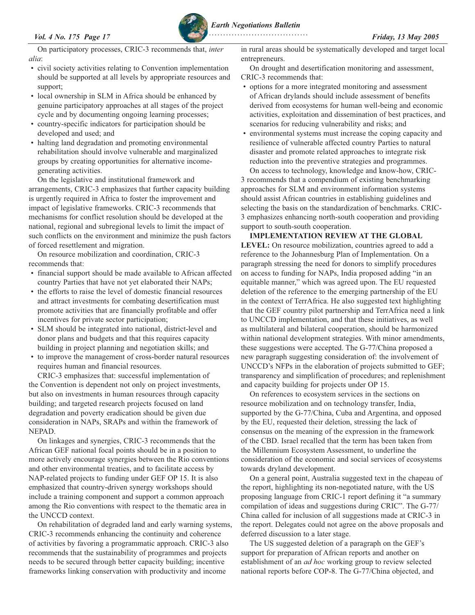*Earth Negotiations Bulletin*

On participatory processes, CRIC-3 recommends that, *inter alia*:

- civil society activities relating to Convention implementation should be supported at all levels by appropriate resources and support;
- local ownership in SLM in Africa should be enhanced by genuine participatory approaches at all stages of the project cycle and by documenting ongoing learning processes;
- country-specific indicators for participation should be developed and used; and
- halting land degradation and promoting environmental rehabilitation should involve vulnerable and marginalized groups by creating opportunities for alternative incomegenerating activities.

On the legislative and institutional framework and arrangements, CRIC-3 emphasizes that further capacity building is urgently required in Africa to foster the improvement and impact of legislative frameworks. CRIC-3 recommends that mechanisms for conflict resolution should be developed at the national, regional and subregional levels to limit the impact of such conflicts on the environment and minimize the push factors of forced resettlement and migration.

On resource mobilization and coordination, CRIC-3 recommends that:

- financial support should be made available to African affected country Parties that have not yet elaborated their NAPs;
- the efforts to raise the level of domestic financial resources and attract investments for combating desertification must promote activities that are financially profitable and offer incentives for private sector participation;
- SLM should be integrated into national, district-level and donor plans and budgets and that this requires capacity building in project planning and negotiation skills; and
- to improve the management of cross-border natural resources requires human and financial resources.

CRIC-3 emphasizes that: successful implementation of the Convention is dependent not only on project investments, but also on investments in human resources through capacity building; and targeted research projects focused on land degradation and poverty eradication should be given due consideration in NAPs, SRAPs and within the framework of NEPAD.

On linkages and synergies, CRIC-3 recommends that the African GEF national focal points should be in a position to more actively encourage synergies between the Rio conventions and other environmental treaties, and to facilitate access by NAP-related projects to funding under GEF OP 15. It is also emphasized that country-driven synergy workshops should include a training component and support a common approach among the Rio conventions with respect to the thematic area in the UNCCD context.

On rehabilitation of degraded land and early warning systems, CRIC-3 recommends enhancing the continuity and coherence of activities by favoring a programmatic approach. CRIC-3 also recommends that the sustainability of programmes and projects needs to be secured through better capacity building; incentive frameworks linking conservation with productivity and income

in rural areas should be systematically developed and target local entrepreneurs.

On drought and desertification monitoring and assessment, CRIC-3 recommends that:

- options for a more integrated monitoring and assessment of African drylands should include assessment of benefits derived from ecosystems for human well-being and economic activities, exploitation and dissemination of best practices, and scenarios for reducing vulnerability and risks; and
- environmental systems must increase the coping capacity and resilience of vulnerable affected country Parties to natural disaster and promote related approaches to integrate risk reduction into the preventive strategies and programmes. On access to technology, knowledge and know-how, CRIC-

3 recommends that a compendium of existing benchmarking approaches for SLM and environment information systems should assist African countries in establishing guidelines and selecting the basis on the standardization of benchmarks. CRIC-3 emphasizes enhancing north-south cooperation and providing support to south-south cooperation.

**IMPLEMENTATION REVIEW AT THE GLOBAL LEVEL:** On resource mobilization, countries agreed to add a reference to the Johannesburg Plan of Implementation. On a paragraph stressing the need for donors to simplify procedures on access to funding for NAPs, India proposed adding "in an equitable manner," which was agreed upon. The EU requested deletion of the reference to the emerging partnership of the EU in the context of TerrAfrica. He also suggested text highlighting that the GEF country pilot partnership and TerrAfrica need a link to UNCCD implementation, and that these initiatives, as well as multilateral and bilateral cooperation, should be harmonized within national development strategies. With minor amendments, these suggestions were accepted. The G-77/China proposed a new paragraph suggesting consideration of: the involvement of UNCCD's NFPs in the elaboration of projects submitted to GEF; transparency and simplification of procedures; and replenishment and capacity building for projects under OP 15.

On references to ecosystem services in the sections on resource mobilization and on technology transfer, India, supported by the G-77/China, Cuba and Argentina, and opposed by the EU, requested their deletion, stressing the lack of consensus on the meaning of the expression in the framework of the CBD. Israel recalled that the term has been taken from the Millennium Ecosystem Assessment, to underline the consideration of the economic and social services of ecosystems towards dryland development.

On a general point, Australia suggested text in the chapeau of the report, highlighting its non-negotiated nature, with the US proposing language from CRIC-1 report defining it "a summary compilation of ideas and suggestions during CRIC". The G-77/ China called for inclusion of all suggestions made at CRIC-3 in the report. Delegates could not agree on the above proposals and deferred discussion to a later stage.

The US suggested deletion of a paragraph on the GEF's support for preparation of African reports and another on establishment of an *ad hoc* working group to review selected national reports before COP-8. The G-77/China objected, and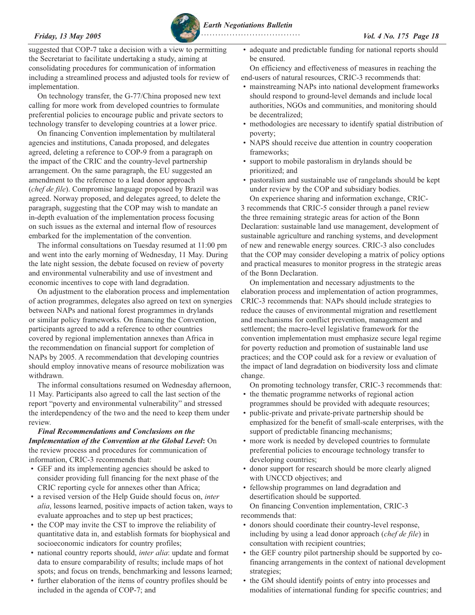

suggested that COP-7 take a decision with a view to permitting the Secretariat to facilitate undertaking a study, aiming at consolidating procedures for communication of information including a streamlined process and adjusted tools for review of implementation.

On technology transfer, the G-77/China proposed new text calling for more work from developed countries to formulate preferential policies to encourage public and private sectors to technology transfer to developing countries at a lower price.

On financing Convention implementation by multilateral agencies and institutions, Canada proposed, and delegates agreed, deleting a reference to COP-9 from a paragraph on the impact of the CRIC and the country-level partnership arrangement. On the same paragraph, the EU suggested an amendment to the reference to a lead donor approach (*chef de file*). Compromise language proposed by Brazil was agreed. Norway proposed, and delegates agreed, to delete the paragraph, suggesting that the COP may wish to mandate an in-depth evaluation of the implementation process focusing on such issues as the external and internal flow of resources embarked for the implementation of the convention.

The informal consultations on Tuesday resumed at 11:00 pm and went into the early morning of Wednesday, 11 May. During the late night session, the debate focused on review of poverty and environmental vulnerability and use of investment and economic incentives to cope with land degradation.

On adjustment to the elaboration process and implementation of action programmes, delegates also agreed on text on synergies between NAPs and national forest programmes in drylands or similar policy frameworks. On financing the Convention, participants agreed to add a reference to other countries covered by regional implementation annexes than Africa in the recommendation on financial support for completion of NAPs by 2005. A recommendation that developing countries should employ innovative means of resource mobilization was withdrawn.

The informal consultations resumed on Wednesday afternoon, 11 May. Participants also agreed to call the last section of the report "poverty and environmental vulnerability" and stressed the interdependency of the two and the need to keep them under review.

*Final Recommendations and Conclusions on the Implementation of the Convention at the Global Level***:** On the review process and procedures for communication of information, CRIC-3 recommends that:

- GEF and its implementing agencies should be asked to consider providing full financing for the next phase of the CRIC reporting cycle for annexes other than Africa;
- a revised version of the Help Guide should focus on, *inter alia*, lessons learned, positive impacts of action taken, ways to evaluate approaches and to step up best practices;
- the COP may invite the CST to improve the reliability of quantitative data in, and establish formats for biophysical and socioeconomic indicators for country profiles;
- national country reports should, *inter alia*: update and format data to ensure comparability of results; include maps of hot spots; and focus on trends, benchmarking and lessons learned;
- further elaboration of the items of country profiles should be included in the agenda of COP-7; and

• adequate and predictable funding for national reports should be ensured.

On efficiency and effectiveness of measures in reaching the end-users of natural resources, CRIC-3 recommends that:

- mainstreaming NAPs into national development frameworks should respond to ground-level demands and include local authorities, NGOs and communities, and monitoring should be decentralized;
- methodologies are necessary to identify spatial distribution of poverty;
- NAPS should receive due attention in country cooperation frameworks;
- support to mobile pastoralism in drylands should be prioritized; and
- pastoralism and sustainable use of rangelands should be kept under review by the COP and subsidiary bodies.

On experience sharing and information exchange, CRIC-3 recommends that CRIC-5 consider through a panel review the three remaining strategic areas for action of the Bonn Declaration: sustainable land use management, development of sustainable agriculture and ranching systems, and development of new and renewable energy sources. CRIC-3 also concludes that the COP may consider developing a matrix of policy options and practical measures to monitor progress in the strategic areas of the Bonn Declaration.

On implementation and necessary adjustments to the elaboration process and implementation of action programmes, CRIC-3 recommends that: NAPs should include strategies to reduce the causes of environmental migration and resettlement and mechanisms for conflict prevention, management and settlement; the macro-level legislative framework for the convention implementation must emphasize secure legal regime for poverty reduction and promotion of sustainable land use practices; and the COP could ask for a review or evaluation of the impact of land degradation on biodiversity loss and climate change.

On promoting technology transfer, CRIC-3 recommends that: • the thematic programme networks of regional action

- programmes should be provided with adequate resources;
- public-private and private-private partnership should be emphasized for the benefit of small-scale enterprises, with the support of predictable financing mechanisms;
- more work is needed by developed countries to formulate preferential policies to encourage technology transfer to developing countries;
- donor support for research should be more clearly aligned with UNCCD objectives; and
- fellowship programmes on land degradation and desertification should be supported. On financing Convention implementation, CRIC-3 recommends that:
- donors should coordinate their country-level response, including by using a lead donor approach (*chef de file*) in consultation with recipient countries;
- the GEF country pilot partnership should be supported by cofinancing arrangements in the context of national development strategies;
- the GM should identify points of entry into processes and modalities of international funding for specific countries; and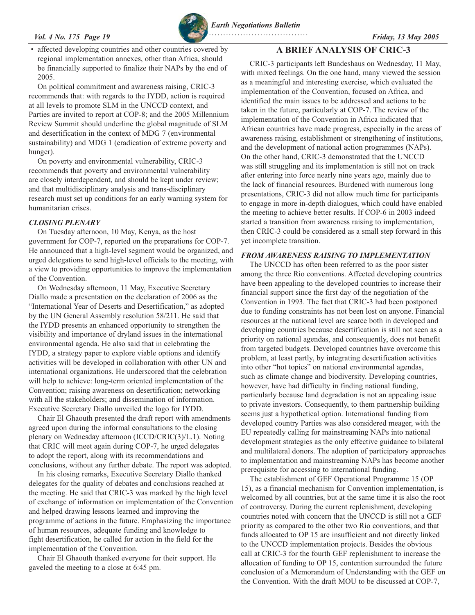### <span id="page-18-0"></span>*Vol. 4 No. 175 Page 19 Friday, 13 May 2005*



*Earth Negotiations Bulletin*

affected developing countries and other countries covered by regional implementation annexes, other than Africa, should be financially supported to finalize their NAPs by the end of 2005.

On political commitment and awareness raising, CRIC-3 recommends that: with regards to the IYDD, action is required at all levels to promote SLM in the UNCCD context, and Parties are invited to report at COP-8; and the 2005 Millennium Review Summit should underline the global magnitude of SLM and desertification in the context of MDG 7 (environmental sustainability) and MDG 1 (eradication of extreme poverty and hunger).

On poverty and environmental vulnerability, CRIC-3 recommends that poverty and environmental vulnerability are closely interdependent, and should be kept under review; and that multidisciplinary analysis and trans-disciplinary research must set up conditions for an early warning system for humanitarian crises.

### *CLOSING PLENARY*

On Tuesday afternoon, 10 May, Kenya, as the host government for COP-7, reported on the preparations for COP-7. He announced that a high-level segment would be organized, and urged delegations to send high-level officials to the meeting, with a view to providing opportunities to improve the implementation of the Convention.

On Wednesday afternoon, 11 May, Executive Secretary Diallo made a presentation on the declaration of 2006 as the "International Year of Deserts and Desertification," as adopted by the UN General Assembly resolution 58/211. He said that the IYDD presents an enhanced opportunity to strengthen the visibility and importance of dryland issues in the international environmental agenda. He also said that in celebrating the IYDD, a strategy paper to explore viable options and identify activities will be developed in collaboration with other UN and international organizations. He underscored that the celebration will help to achieve: long-term oriented implementation of the Convention; raising awareness on desertification; networking with all the stakeholders; and dissemination of information. Executive Secretary Diallo unveiled the logo for IYDD.

Chair El Ghaouth presented the draft report with amendments agreed upon during the informal consultations to the closing plenary on Wednesday afternoon (ICCD/CRIC(3)/L.1). Noting that CRIC will meet again during COP-7, he urged delegates to adopt the report, along with its recommendations and conclusions, without any further debate. The report was adopted.

In his closing remarks, Executive Secretary Diallo thanked delegates for the quality of debates and conclusions reached at the meeting. He said that CRIC-3 was marked by the high level of exchange of information on implementation of the Convention and helped drawing lessons learned and improving the programme of actions in the future. Emphasizing the importance of human resources, adequate funding and knowledge to fight desertification, he called for action in the field for the implementation of the Convention.

Chair El Ghaouth thanked everyone for their support. He gaveled the meeting to a close at 6:45 pm.

# **A BRIEF ANALYSIS OF CRIC-3**

CRIC-3 participants left Bundeshaus on Wednesday, 11 May, with mixed feelings. On the one hand, many viewed the session as a meaningful and interesting exercise, which evaluated the implementation of the Convention, focused on Africa, and identified the main issues to be addressed and actions to be taken in the future, particularly at COP-7. The review of the implementation of the Convention in Africa indicated that African countries have made progress, especially in the areas of awareness raising, establishment or strengthening of institutions, and the development of national action programmes (NAPs). On the other hand, CRIC-3 demonstrated that the UNCCD was still struggling and its implementation is still not on track after entering into force nearly nine years ago, mainly due to the lack of financial resources. Burdened with numerous long presentations, CRIC-3 did not allow much time for participants to engage in more in-depth dialogues, which could have enabled the meeting to achieve better results. If COP-6 in 2003 indeed started a transition from awareness raising to implementation, then CRIC-3 could be considered as a small step forward in this yet incomplete transition.

# *FROM AWARENESS RAISING TO IMPLEMENTATION*

The UNCCD has often been referred to as the poor sister among the three Rio conventions. Affected developing countries have been appealing to the developed countries to increase their financial support since the first day of the negotiation of the Convention in 1993. The fact that CRIC-3 had been postponed due to funding constraints has not been lost on anyone. Financial resources at the national level are scarce both in developed and developing countries because desertification is still not seen as a priority on national agendas, and consequently, does not benefit from targeted budgets. Developed countries have overcome this problem, at least partly, by integrating desertification activities into other "hot topics" on national environmental agendas, such as climate change and biodiversity. Developing countries, however, have had difficulty in finding national funding, particularly because land degradation is not an appealing issue to private investors. Consequently, to them partnership building seems just a hypothetical option. International funding from developed country Parties was also considered meager, with the EU repeatedly calling for mainstreaming NAPs into national development strategies as the only effective guidance to bilateral and multilateral donors. The adoption of participatory approaches to implementation and mainstreaming NAPs has become another prerequisite for accessing to international funding.

The establishment of GEF Operational Programme 15 (OP 15), as a financial mechanism for Convention implementation, is welcomed by all countries, but at the same time it is also the root of controversy. During the current replenishment, developing countries noted with concern that the UNCCD is still not a GEF priority as compared to the other two Rio conventions, and that funds allocated to OP 15 are insufficient and not directly linked to the UNCCD implementation projects. Besides the obvious call at CRIC-3 for the fourth GEF replenishment to increase the allocation of funding to OP 15, contention surrounded the future conclusion of a Memorandum of Understanding with the GEF on the Convention. With the draft MOU to be discussed at COP-7,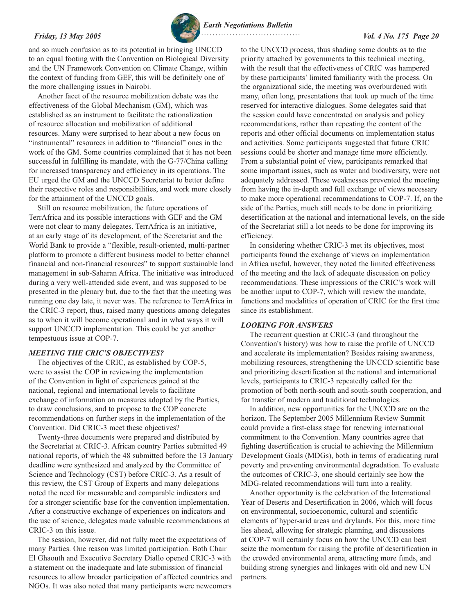

and so much confusion as to its potential in bringing UNCCD to an equal footing with the Convention on Biological Diversity and the UN Framework Convention on Climate Change, within the context of funding from GEF, this will be definitely one of the more challenging issues in Nairobi.

Another facet of the resource mobilization debate was the effectiveness of the Global Mechanism (GM), which was established as an instrument to facilitate the rationalization of resource allocation and mobilization of additional resources. Many were surprised to hear about a new focus on "instrumental" resources in addition to "financial" ones in the work of the GM. Some countries complained that it has not been successful in fulfilling its mandate, with the G-77/China calling for increased transparency and efficiency in its operations. The EU urged the GM and the UNCCD Secretariat to better define their respective roles and responsibilities, and work more closely for the attainment of the UNCCD goals.

Still on resource mobilization, the future operations of TerrAfrica and its possible interactions with GEF and the GM were not clear to many delegates. TerrAfrica is an initiative, at an early stage of its development, of the Secretariat and the World Bank to provide a "flexible, result-oriented, multi-partner platform to promote a different business model to better channel financial and non-financial resources" to support sustainable land management in sub-Saharan Africa. The initiative was introduced during a very well-attended side event, and was supposed to be presented in the plenary but, due to the fact that the meeting was running one day late, it never was. The reference to TerrAfrica in the CRIC-3 report, thus, raised many questions among delegates as to when it will become operational and in what ways it will support UNCCD implementation. This could be yet another tempestuous issue at COP-7.

### *MEETING THE CRIC'S OBJECTIVES?*

The objectives of the CRIC, as established by COP-5, were to assist the COP in reviewing the implementation of the Convention in light of experiences gained at the national, regional and international levels to facilitate exchange of information on measures adopted by the Parties, to draw conclusions, and to propose to the COP concrete recommendations on further steps in the implementation of the Convention. Did CRIC-3 meet these objectives?

Twenty-three documents were prepared and distributed by the Secretariat at CRIC-3. African country Parties submitted 49 national reports, of which the 48 submitted before the 13 January deadline were synthesized and analyzed by the Committee of Science and Technology (CST) before CRIC-3. As a result of this review, the CST Group of Experts and many delegations noted the need for measurable and comparable indicators and for a stronger scientific base for the convention implementation. After a constructive exchange of experiences on indicators and the use of science, delegates made valuable recommendations at CRIC-3 on this issue.

The session, however, did not fully meet the expectations of many Parties. One reason was limited participation. Both Chair El Ghaouth and Executive Secretary Diallo opened CRIC-3 with a statement on the inadequate and late submission of financial resources to allow broader participation of affected countries and NGOs. It was also noted that many participants were newcomers

to the UNCCD process, thus shading some doubts as to the priority attached by governments to this technical meeting, with the result that the effectiveness of CRIC was hampered by these participants' limited familiarity with the process. On the organizational side, the meeting was overburdened with many, often long, presentations that took up much of the time reserved for interactive dialogues. Some delegates said that the session could have concentrated on analysis and policy recommendations, rather than repeating the content of the reports and other official documents on implementation status and activities. Some participants suggested that future CRIC sessions could be shorter and manage time more efficiently. From a substantial point of view, participants remarked that some important issues, such as water and biodiversity, were not adequately addressed. These weaknesses prevented the meeting from having the in-depth and full exchange of views necessary to make more operational recommendations to COP-7. If, on the side of the Parties, much still needs to be done in prioritizing desertification at the national and international levels, on the side of the Secretariat still a lot needs to be done for improving its efficiency.

In considering whether CRIC-3 met its objectives, most participants found the exchange of views on implementation in Africa useful, however, they noted the limited effectiveness of the meeting and the lack of adequate discussion on policy recommendations. These impressions of the CRIC's work will be another input to COP-7, which will review the mandate, functions and modalities of operation of CRIC for the first time since its establishment.

### *LOOKING FOR ANSWERS*

The recurrent question at CRIC-3 (and throughout the Convention's history) was how to raise the profile of UNCCD and accelerate its implementation? Besides raising awareness, mobilizing resources, strengthening the UNCCD scientific base and prioritizing desertification at the national and international levels, participants to CRIC-3 repeatedly called for the promotion of both north-south and south-south cooperation, and for transfer of modern and traditional technologies.

In addition, new opportunities for the UNCCD are on the horizon. The September 2005 Millennium Review Summit could provide a first-class stage for renewing international commitment to the Convention. Many countries agree that fighting desertification is crucial to achieving the Millennium Development Goals (MDGs), both in terms of eradicating rural poverty and preventing environmental degradation. To evaluate the outcomes of CRIC-3, one should certainly see how the MDG-related recommendations will turn into a reality.

Another opportunity is the celebration of the International Year of Deserts and Desertification in 2006, which will focus on environmental, socioeconomic, cultural and scientific elements of hyper-arid areas and drylands. For this, more time lies ahead, allowing for strategic planning, and discussions at COP-7 will certainly focus on how the UNCCD can best seize the momentum for raising the profile of desertification in the crowded environmental arena, attracting more funds, and building strong synergies and linkages with old and new UN partners.